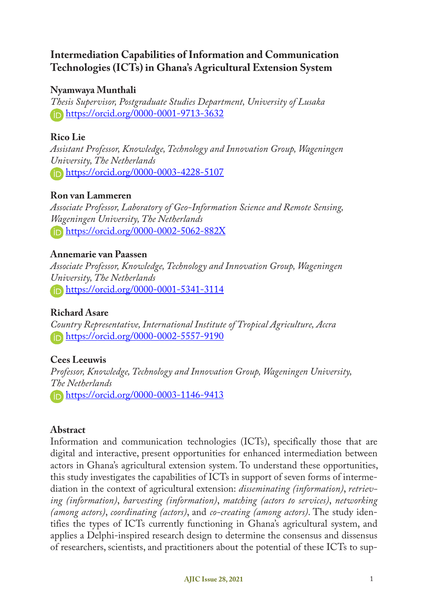# **Intermediation Capabilities of Information and Communication Technologies (ICTs) in Ghana's Agricultural Extension System**

# **Nyamwaya Munthali**

*Thesis Supervisor, Postgraduate Studies Department, University of Lusaka* https://orcid.org/0000-0001-9713-3632

# **Rico Lie**

*Assistant Professor, Knowledge, Technology and Innovation Group, Wageningen University, The Netherlands* https://orcid.org/0000-0003-4228-5107

# **Ron van Lammeren**

*Associate Professor, Laboratory of Geo-Information Science and Remote Sensing, Wageningen University, The Netherlands* **https://orcid.org/0000-0002-5062-882X** 

# **Annemarie van Paassen**

*Associate Professor, Knowledge, Technology and Innovation Group, Wageningen University, The Netherlands* https://orcid.org/0000-0001-5341-3114

# **Richard Asare**

*Country Representative, International Institute of Tropical Agriculture, Accra*  https://orcid.org/0000-0002-5557-9190

# **Cees Leeuwis**

*Professor, Knowledge, Technology and Innovation Group, Wageningen University, The Netherlands* https://orcid.org/0000-0003-1146-9413

# **Abstract**

Information and communication technologies (ICTs), specifically those that are digital and interactive, present opportunities for enhanced intermediation between actors in Ghana's agricultural extension system. To understand these opportunities, this study investigates the capabilities of ICTs in support of seven forms of intermediation in the context of agricultural extension: *disseminating (information)*, *retrieving (information)*, *harvesting (information)*, *matching (actors to services)*, *networking (among actors)*, *coordinating (actors)*, and *co-creating (among actors)*. The study identifies the types of ICTs currently functioning in Ghana's agricultural system, and applies a Delphi-inspired research design to determine the consensus and dissensus of researchers, scientists, and practitioners about the potential of these ICTs to sup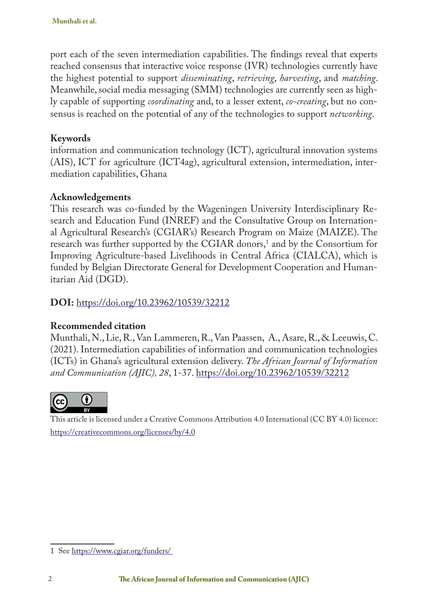port each of the seven intermediation capabilities. The findings reveal that experts reached consensus that interactive voice response (IVR) technologies currently have the highest potential to support *disseminating*, *retrieving*, *harvesting*, and *matching*. Meanwhile, social media messaging (SMM) technologies are currently seen as highly capable of supporting *coordinating* and, to a lesser extent, *co-creating*, but no consensus is reached on the potential of any of the technologies to support *networking*.

# **Keywords**

information and communication technology (ICT), agricultural innovation systems (AIS), ICT for agriculture (ICT4ag), agricultural extension, intermediation, intermediation capabilities, Ghana

# **Acknowledgements**

This research was co-funded by the Wageningen University Interdisciplinary Research and Education Fund (INREF) and the Consultative Group on International Agricultural Research's (CGIAR's) Research Program on Maize (MAIZE). The research was further supported by the CGIAR donors,<sup>1</sup> and by the Consortium for Improving Agriculture-based Livelihoods in Central Africa (CIALCA), which is funded by Belgian Directorate General for Development Cooperation and Humanitarian Aid (DGD).

# **DOI:** https://doi.org/10.23962/10539/32212

# **Recommended citation**

Munthali, N., Lie, R., Van Lammeren, R., Van Paassen, A., Asare, R., & Leeuwis, C. (2021). Intermediation capabilities of information and communication technologies (ICTs) in Ghana's agricultural extension delivery. *The African Journal of Information and Communication (AJIC), 28*, 1-37. https://doi.org/10.23962/10539/32212



This article is licensed under a Creative Commons Attribution 4.0 International (CC BY 4.0) licence: https://creativecommons.org/licenses/by/4.0

<sup>1</sup> See https://www.cgiar.org/funders/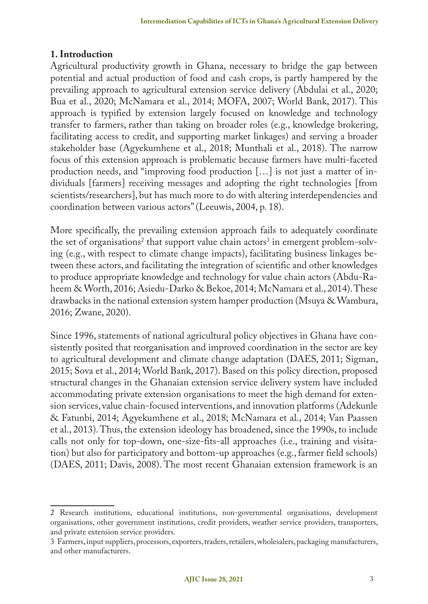# **1. Introduction**

Agricultural productivity growth in Ghana, necessary to bridge the gap between potential and actual production of food and cash crops, is partly hampered by the prevailing approach to agricultural extension service delivery (Abdulai et al., 2020; Bua et al., 2020; McNamara et al., 2014; MOFA, 2007; World Bank, 2017). This approach is typified by extension largely focused on knowledge and technology transfer to farmers, rather than taking on broader roles (e.g., knowledge brokering, facilitating access to credit, and supporting market linkages) and serving a broader stakeholder base (Agyekumhene et al., 2018; Munthali et al., 2018). The narrow focus of this extension approach is problematic because farmers have multi-faceted production needs, and "improving food production […] is not just a matter of individuals [farmers] receiving messages and adopting the right technologies [from scientists/researchers], but has much more to do with altering interdependencies and coordination between various actors" (Leeuwis, 2004, p. 18).

More specifically, the prevailing extension approach fails to adequately coordinate the set of organisations<sup>2</sup> that support value chain actors<sup>3</sup> in emergent problem-solving (e.g., with respect to climate change impacts), facilitating business linkages between these actors, and facilitating the integration of scientific and other knowledges to produce appropriate knowledge and technology for value chain actors (Abdu-Raheem & Worth, 2016; Asiedu-Darko & Bekoe, 2014; McNamara et al., 2014). These drawbacks in the national extension system hamper production (Msuya & Wambura, 2016; Zwane, 2020).

Since 1996, statements of national agricultural policy objectives in Ghana have consistently posited that reorganisation and improved coordination in the sector are key to agricultural development and climate change adaptation (DAES, 2011; Sigman, 2015; Sova et al., 2014; World Bank, 2017). Based on this policy direction, proposed structural changes in the Ghanaian extension service delivery system have included accommodating private extension organisations to meet the high demand for extension services, value chain-focused interventions, and innovation platforms (Adekunle & Fatunbi, 2014; Agyekumhene et al., 2018; McNamara et al., 2014; Van Paassen et al., 2013). Thus, the extension ideology has broadened, since the 1990s, to include calls not only for top-down, one-size-fits-all approaches (i.e., training and visitation) but also for participatory and bottom-up approaches (e.g., farmer field schools) (DAES, 2011; Davis, 2008). The most recent Ghanaian extension framework is an

<sup>2</sup> Research institutions, educational institutions, non-governmental organisations, development organisations, other government institutions, credit providers, weather service providers, transporters, and private extension service providers.

<sup>3</sup> Farmers, input suppliers, processors, exporters, traders, retailers, wholesalers, packaging manufacturers, and other manufacturers.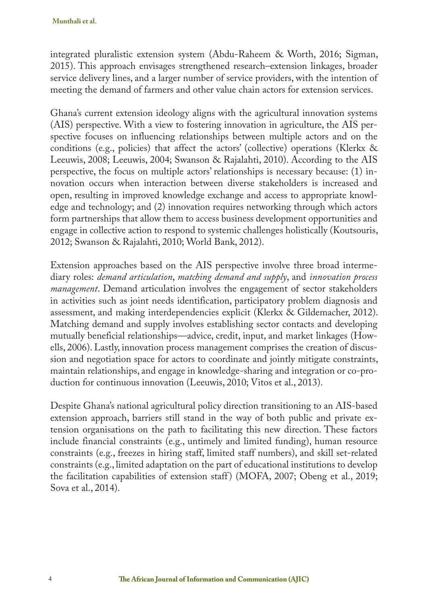integrated pluralistic extension system (Abdu-Raheem & Worth, 2016; Sigman, 2015). This approach envisages strengthened research–extension linkages, broader service delivery lines, and a larger number of service providers, with the intention of meeting the demand of farmers and other value chain actors for extension services.

Ghana's current extension ideology aligns with the agricultural innovation systems (AIS) perspective. With a view to fostering innovation in agriculture, the AIS perspective focuses on influencing relationships between multiple actors and on the conditions (e.g., policies) that affect the actors' (collective) operations (Klerkx & Leeuwis, 2008; Leeuwis, 2004; Swanson & Rajalahti, 2010). According to the AIS perspective, the focus on multiple actors' relationships is necessary because: (1) innovation occurs when interaction between diverse stakeholders is increased and open, resulting in improved knowledge exchange and access to appropriate knowledge and technology; and (2) innovation requires networking through which actors form partnerships that allow them to access business development opportunities and engage in collective action to respond to systemic challenges holistically (Koutsouris, 2012; Swanson & Rajalahti, 2010; World Bank, 2012).

Extension approaches based on the AIS perspective involve three broad intermediary roles: *demand articulation*, *matching demand and supply*, and *innovation process management*. Demand articulation involves the engagement of sector stakeholders in activities such as joint needs identification, participatory problem diagnosis and assessment, and making interdependencies explicit (Klerkx & Gildemacher, 2012). Matching demand and supply involves establishing sector contacts and developing mutually beneficial relationships—advice, credit, input, and market linkages (Howells, 2006). Lastly, innovation process management comprises the creation of discussion and negotiation space for actors to coordinate and jointly mitigate constraints, maintain relationships, and engage in knowledge-sharing and integration or co-production for continuous innovation (Leeuwis, 2010; Vitos et al., 2013).

Despite Ghana's national agricultural policy direction transitioning to an AIS-based extension approach, barriers still stand in the way of both public and private extension organisations on the path to facilitating this new direction. These factors include financial constraints (e.g., untimely and limited funding), human resource constraints (e.g., freezes in hiring staff, limited staff numbers), and skill set-related constraints (e.g., limited adaptation on the part of educational institutions to develop the facilitation capabilities of extension staff ) (MOFA, 2007; Obeng et al., 2019; Sova et al., 2014).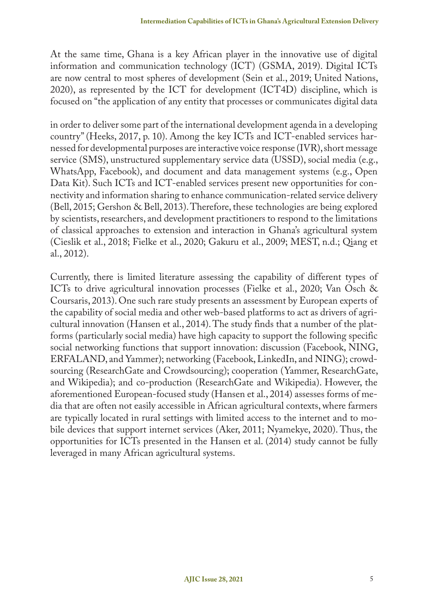At the same time, Ghana is a key African player in the innovative use of digital information and communication technology (ICT) (GSMA, 2019). Digital ICTs are now central to most spheres of development (Sein et al., 2019; United Nations, 2020), as represented by the ICT for development (ICT4D) discipline, which is focused on "the application of any entity that processes or communicates digital data

in order to deliver some part of the international development agenda in a developing country" (Heeks, 2017, p. 10). Among the key ICTs and ICT-enabled services harnessed for developmental purposes are interactive voice response (IVR), short message service (SMS), unstructured supplementary service data (USSD), social media (e.g., WhatsApp, Facebook), and document and data management systems (e.g., Open Data Kit). Such ICTs and ICT-enabled services present new opportunities for connectivity and information sharing to enhance communication-related service delivery (Bell, 2015; Gershon & Bell, 2013). Therefore, these technologies are being explored by scientists, researchers, and development practitioners to respond to the limitations of classical approaches to extension and interaction in Ghana's agricultural system (Cieslik et al., 2018; Fielke et al., 2020; Gakuru et al., 2009; MEST, n.d.; Qiang et al., 2012).

Currently, there is limited literature assessing the capability of different types of ICTs to drive agricultural innovation processes (Fielke et al., 2020; Van Osch & Coursaris, 2013). One such rare study presents an assessment by European experts of the capability of social media and other web-based platforms to act as drivers of agricultural innovation (Hansen et al., 2014). The study finds that a number of the platforms (particularly social media) have high capacity to support the following specific social networking functions that support innovation: discussion (Facebook, NING, ERFALAND, and Yammer); networking (Facebook, LinkedIn, and NING); crowdsourcing (ResearchGate and Crowdsourcing); cooperation (Yammer, ResearchGate, and Wikipedia); and co-production (ResearchGate and Wikipedia). However, the aforementioned European-focused study (Hansen et al., 2014) assesses forms of media that are often not easily accessible in African agricultural contexts, where farmers are typically located in rural settings with limited access to the internet and to mobile devices that support internet services (Aker, 2011; Nyamekye, 2020). Thus, the opportunities for ICTs presented in the Hansen et al. (2014) study cannot be fully leveraged in many African agricultural systems.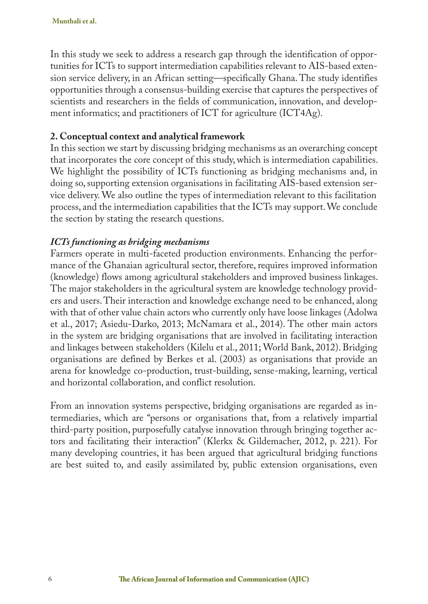In this study we seek to address a research gap through the identification of opportunities for ICTs to support intermediation capabilities relevant to AIS-based extension service delivery, in an African setting—specifically Ghana. The study identifies opportunities through a consensus-building exercise that captures the perspectives of scientists and researchers in the fields of communication, innovation, and development informatics; and practitioners of ICT for agriculture (ICT4Ag).

#### **2. Conceptual context and analytical framework**

In this section we start by discussing bridging mechanisms as an overarching concept that incorporates the core concept of this study, which is intermediation capabilities. We highlight the possibility of ICTs functioning as bridging mechanisms and, in doing so, supporting extension organisations in facilitating AIS-based extension service delivery. We also outline the types of intermediation relevant to this facilitation process, and the intermediation capabilities that the ICTs may support. We conclude the section by stating the research questions.

# *ICTs functioning as bridging mechanisms*

Farmers operate in multi-faceted production environments. Enhancing the performance of the Ghanaian agricultural sector, therefore, requires improved information (knowledge) flows among agricultural stakeholders and improved business linkages. The major stakeholders in the agricultural system are knowledge technology providers and users. Their interaction and knowledge exchange need to be enhanced, along with that of other value chain actors who currently only have loose linkages (Adolwa et al., 2017; Asiedu-Darko, 2013; McNamara et al., 2014). The other main actors in the system are bridging organisations that are involved in facilitating interaction and linkages between stakeholders (Kilelu et al., 2011; World Bank, 2012). Bridging organisations are defined by Berkes et al. (2003) as organisations that provide an arena for knowledge co-production, trust-building, sense-making, learning, vertical and horizontal collaboration, and conflict resolution.

From an innovation systems perspective, bridging organisations are regarded as intermediaries, which are "persons or organisations that, from a relatively impartial third-party position, purposefully catalyse innovation through bringing together actors and facilitating their interaction" (Klerkx & Gildemacher, 2012, p. 221). For many developing countries, it has been argued that agricultural bridging functions are best suited to, and easily assimilated by, public extension organisations, even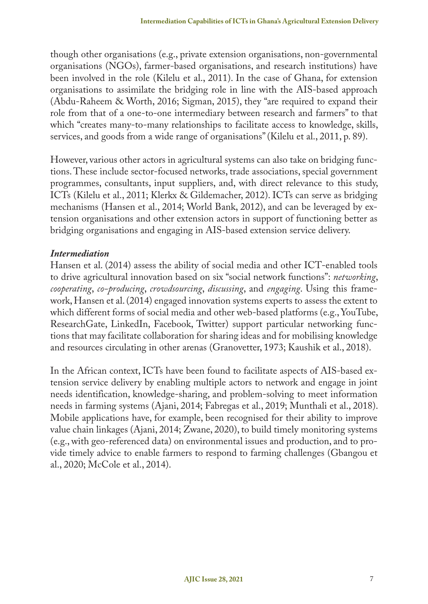though other organisations (e.g., private extension organisations, non-governmental organisations (NGOs), farmer-based organisations, and research institutions) have been involved in the role (Kilelu et al., 2011). In the case of Ghana, for extension organisations to assimilate the bridging role in line with the AIS-based approach (Abdu-Raheem & Worth, 2016; Sigman, 2015), they "are required to expand their role from that of a one-to-one intermediary between research and farmers" to that which "creates many-to-many relationships to facilitate access to knowledge, skills, services, and goods from a wide range of organisations" (Kilelu et al., 2011, p. 89).

However, various other actors in agricultural systems can also take on bridging functions. These include sector-focused networks, trade associations, special government programmes, consultants, input suppliers, and, with direct relevance to this study, ICTs (Kilelu et al., 2011; Klerkx & Gildemacher, 2012). ICTs can serve as bridging mechanisms (Hansen et al., 2014; World Bank, 2012), and can be leveraged by extension organisations and other extension actors in support of functioning better as bridging organisations and engaging in AIS-based extension service delivery.

# *Intermediation*

Hansen et al. (2014) assess the ability of social media and other ICT-enabled tools to drive agricultural innovation based on six "social network functions": *networking*, *cooperating*, *co-producing*, *crowdsourcing*, *discussing*, and *engaging*. Using this framework, Hansen et al. (2014) engaged innovation systems experts to assess the extent to which different forms of social media and other web-based platforms (e.g., YouTube, ResearchGate, LinkedIn, Facebook, Twitter) support particular networking functions that may facilitate collaboration for sharing ideas and for mobilising knowledge and resources circulating in other arenas (Granovetter, 1973; Kaushik et al., 2018).

In the African context, ICTs have been found to facilitate aspects of AIS-based extension service delivery by enabling multiple actors to network and engage in joint needs identification, knowledge-sharing, and problem-solving to meet information needs in farming systems (Ajani, 2014; Fabregas et al., 2019; Munthali et al., 2018). Mobile applications have, for example, been recognised for their ability to improve value chain linkages (Ajani, 2014; Zwane, 2020), to build timely monitoring systems (e.g., with geo-referenced data) on environmental issues and production, and to provide timely advice to enable farmers to respond to farming challenges (Gbangou et al., 2020; McCole et al., 2014).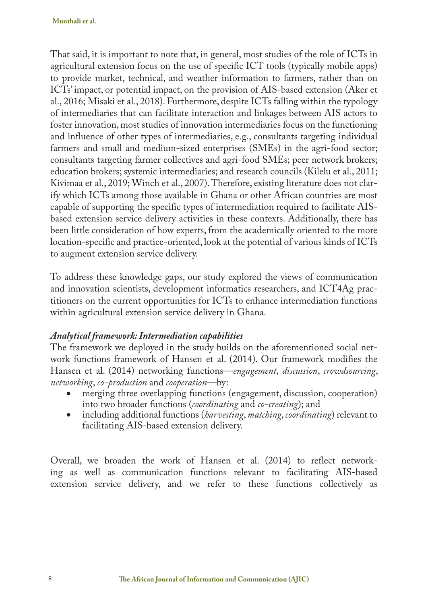That said, it is important to note that, in general, most studies of the role of ICTs in agricultural extension focus on the use of specific ICT tools (typically mobile apps) to provide market, technical, and weather information to farmers, rather than on ICTs' impact, or potential impact, on the provision of AIS-based extension (Aker et al., 2016; Misaki et al., 2018). Furthermore, despite ICTs falling within the typology of intermediaries that can facilitate interaction and linkages between AIS actors to foster innovation, most studies of innovation intermediaries focus on the functioning and influence of other types of intermediaries, e.g., consultants targeting individual farmers and small and medium-sized enterprises (SMEs) in the agri-food sector; consultants targeting farmer collectives and agri-food SMEs; peer network brokers; education brokers; systemic intermediaries; and research councils (Kilelu et al., 2011; Kivimaa et al., 2019; Winch et al., 2007). Therefore, existing literature does not clarify which ICTs among those available in Ghana or other African countries are most capable of supporting the specific types of intermediation required to facilitate AISbased extension service delivery activities in these contexts. Additionally, there has been little consideration of how experts, from the academically oriented to the more location-specific and practice-oriented, look at the potential of various kinds of ICTs to augment extension service delivery.

To address these knowledge gaps, our study explored the views of communication and innovation scientists, development informatics researchers, and ICT4Ag practitioners on the current opportunities for ICTs to enhance intermediation functions within agricultural extension service delivery in Ghana.

#### *Analytical framework: Intermediation capabilities*

The framework we deployed in the study builds on the aforementioned social network functions framework of Hansen et al. (2014). Our framework modifies the Hansen et al. (2014) networking functions—*engagement*, *discussion*, *crowdsourcing*, *networking*, *co-production* and *cooperation*—by:

- merging three overlapping functions (engagement, discussion, cooperation) into two broader functions (*coordinating* and *co-creating*); and
- including additional functions (*harvesting*, *matching*, *coordinating*) relevant to facilitating AIS-based extension delivery.

Overall, we broaden the work of Hansen et al. (2014) to reflect networking as well as communication functions relevant to facilitating AIS-based extension service delivery, and we refer to these functions collectively as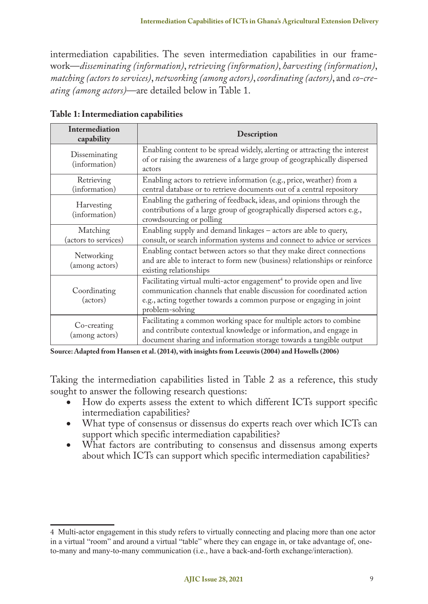intermediation capabilities. The seven intermediation capabilities in our framework—*disseminating (information)*, *retrieving (information)*, *harvesting (information)*, *matching (actors to services)*, *networking (among actors)*, *coordinating (actors)*, and *co-creating (among actors)*—are detailed below in Table 1.

| <b>Intermediation</b><br>capability | Description                                                                                                                                                                                                                                         |
|-------------------------------------|-----------------------------------------------------------------------------------------------------------------------------------------------------------------------------------------------------------------------------------------------------|
| Disseminating<br>(information)      | Enabling content to be spread widely, alerting or attracting the interest<br>of or raising the awareness of a large group of geographically dispersed<br>actors                                                                                     |
| Retrieving<br>(information)         | Enabling actors to retrieve information (e.g., price, weather) from a<br>central database or to retrieve documents out of a central repository                                                                                                      |
| Harvesting<br>(information)         | Enabling the gathering of feedback, ideas, and opinions through the<br>contributions of a large group of geographically dispersed actors e.g.,<br>crowdsourcing or polling                                                                          |
| Matching<br>(actors to services)    | Enabling supply and demand linkages - actors are able to query,<br>consult, or search information systems and connect to advice or services                                                                                                         |
| Networking<br>(among actors)        | Enabling contact between actors so that they make direct connections<br>and are able to interact to form new (business) relationships or reinforce<br>existing relationships                                                                        |
| Coordinating<br>(actors)            | Facilitating virtual multi-actor engagement <sup>4</sup> to provide open and live<br>communication channels that enable discussion for coordinated action<br>e.g., acting together towards a common purpose or engaging in joint<br>problem-solving |
| Co-creating<br>(among actors)       | Facilitating a common working space for multiple actors to combine<br>and contribute contextual knowledge or information, and engage in<br>document sharing and information storage towards a tangible output                                       |

**Table 1: Intermediation capabilities**

**Source: Adapted from Hansen et al. (2014), with insights from Leeuwis (2004) and Howells (2006)**

Taking the intermediation capabilities listed in Table 2 as a reference, this study sought to answer the following research questions:

- • How do experts assess the extent to which different ICTs support specific intermediation capabilities?
- What type of consensus or dissensus do experts reach over which ICTs can support which specific intermediation capabilities?
- What factors are contributing to consensus and dissensus among experts about which ICTs can support which specific intermediation capabilities?

<sup>4</sup> Multi-actor engagement in this study refers to virtually connecting and placing more than one actor in a virtual "room" and around a virtual "table" where they can engage in, or take advantage of, oneto-many and many-to-many communication (i.e., have a back-and-forth exchange/interaction).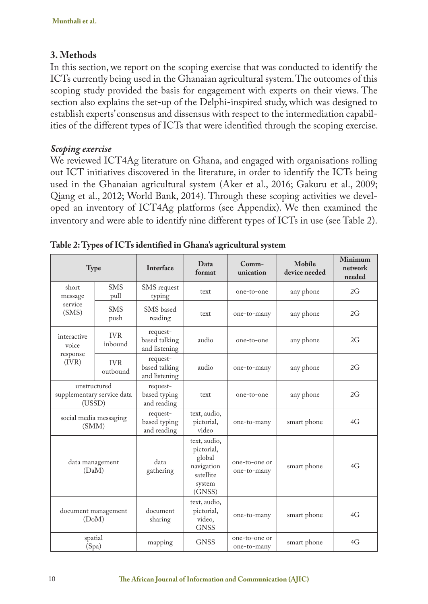# **3. Methods**

In this section, we report on the scoping exercise that was conducted to identify the ICTs currently being used in the Ghanaian agricultural system. The outcomes of this scoping study provided the basis for engagement with experts on their views. The section also explains the set-up of the Delphi-inspired study, which was designed to establish experts' consensus and dissensus with respect to the intermediation capabilities of the different types of ICTs that were identified through the scoping exercise.

# *Scoping exercise*

We reviewed ICT4Ag literature on Ghana, and engaged with organisations rolling out ICT initiatives discovered in the literature, in order to identify the ICTs being used in the Ghanaian agricultural system (Aker et al., 2016; Gakuru et al., 2009; Qiang et al., 2012; World Bank, 2014). Through these scoping activities we developed an inventory of ICT4Ag platforms (see Appendix). We then examined the inventory and were able to identify nine different types of ICTs in use (see Table 2).

| <b>Type</b>                                          |                        | Interface                                  | Data<br>format                                                                      | Comm-<br>unication           | Mobile<br>device needed | Minimum<br>network<br>needed |
|------------------------------------------------------|------------------------|--------------------------------------------|-------------------------------------------------------------------------------------|------------------------------|-------------------------|------------------------------|
| short<br>message                                     | <b>SMS</b><br>pull     | SMS request<br>typing                      | text                                                                                | one-to-one                   | any phone               | 2G                           |
| service<br>(SMS)                                     | <b>SMS</b><br>push     | SMS based<br>reading                       | text                                                                                | one-to-many                  | any phone               | 2G                           |
| interactive<br>voice                                 | <b>IVR</b><br>inbound  | request-<br>based talking<br>and listening | audio                                                                               | one-to-one                   | any phone               | 2G                           |
| response<br>(IVR)                                    | <b>IVR</b><br>outbound | request-<br>based talking<br>and listening | audio                                                                               | one-to-many                  | any phone               | 2G                           |
| unstructured<br>supplementary service data<br>(USSD) |                        | request-<br>based typing<br>and reading    | text                                                                                | one-to-one                   | any phone               | 2G                           |
| social media messaging<br>(SMM)                      |                        | request-<br>based typing<br>and reading    | text, audio,<br>pictorial,<br>video                                                 | one-to-many                  | smart phone             | 4G                           |
| data management<br>(DaM)                             |                        | data<br>gathering                          | text, audio,<br>pictorial,<br>global<br>navigation<br>satellite<br>system<br>(GNSS) | one-to-one or<br>one-to-many | smart phone             | 4G                           |
| document management<br>(DoM)                         |                        | document<br>sharing                        | text, audio,<br>pictorial,<br>video,<br><b>GNSS</b>                                 | one-to-many                  | smart phone             | 4G                           |
| spatial<br>(Spa)                                     |                        | mapping                                    | <b>GNSS</b>                                                                         | one-to-one or<br>one-to-many | smart phone             | 4G                           |

**Table 2: Types of ICTs identified in Ghana's agricultural system**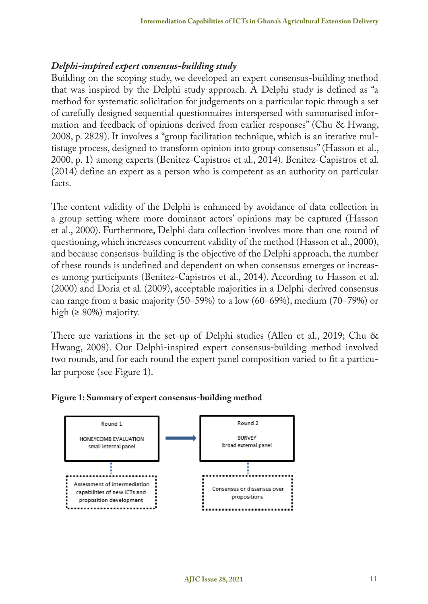#### *Delphi-inspired expert consensus-building study*

Building on the scoping study, we developed an expert consensus-building method that was inspired by the Delphi study approach. A Delphi study is defined as "a method for systematic solicitation for judgements on a particular topic through a set of carefully designed sequential questionnaires interspersed with summarised information and feedback of opinions derived from earlier responses" (Chu & Hwang, 2008, p. 2828). It involves a "group facilitation technique, which is an iterative multistage process, designed to transform opinion into group consensus" (Hasson et al., 2000, p. 1) among experts (Benitez-Capistros et al., 2014). Benitez-Capistros et al. (2014) define an expert as a person who is competent as an authority on particular facts.

The content validity of the Delphi is enhanced by avoidance of data collection in a group setting where more dominant actors' opinions may be captured (Hasson et al., 2000). Furthermore, Delphi data collection involves more than one round of questioning, which increases concurrent validity of the method (Hasson et al., 2000), and because consensus-building is the objective of the Delphi approach, the number of these rounds is undefined and dependent on when consensus emerges or increases among participants (Benitez-Capistros et al., 2014). According to Hasson et al. (2000) and Doria et al. (2009), acceptable majorities in a Delphi-derived consensus can range from a basic majority (50–59%) to a low (60–69%), medium (70–79%) or high ( $\geq 80\%$ ) majority.

There are variations in the set-up of Delphi studies (Allen et al., 2019; Chu & Hwang, 2008). Our Delphi-inspired expert consensus-building method involved two rounds, and for each round the expert panel composition varied to fit a particular purpose (see Figure 1).

#### **Figure 1: Summary of expert consensus-building method**

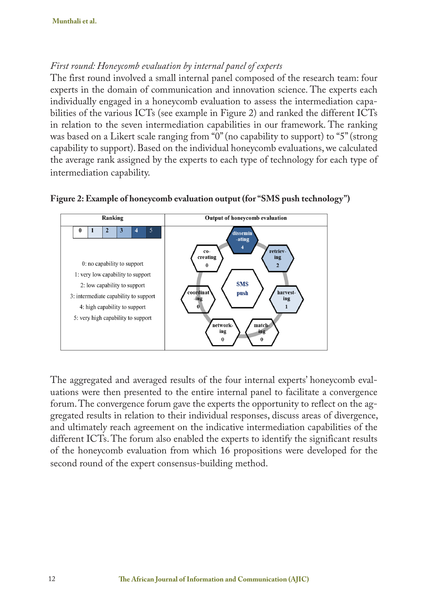# *First round: Honeycomb evaluation by internal panel of experts*

The first round involved a small internal panel composed of the research team: four experts in the domain of communication and innovation science. The experts each individually engaged in a honeycomb evaluation to assess the intermediation capabilities of the various ICTs (see example in Figure 2) and ranked the different ICTs in relation to the seven intermediation capabilities in our framework. The ranking was based on a Likert scale ranging from "0" (no capability to support) to "5" (strong capability to support). Based on the individual honeycomb evaluations, we calculated the average rank assigned by the experts to each type of technology for each type of intermediation capability.





The aggregated and averaged results of the four internal experts' honeycomb evaluations were then presented to the entire internal panel to facilitate a convergence forum. The convergence forum gave the experts the opportunity to reflect on the aggregated results in relation to their individual responses, discuss areas of divergence, and ultimately reach agreement on the indicative intermediation capabilities of the different ICTs. The forum also enabled the experts to identify the significant results of the honeycomb evaluation from which 16 propositions were developed for the second round of the expert consensus-building method.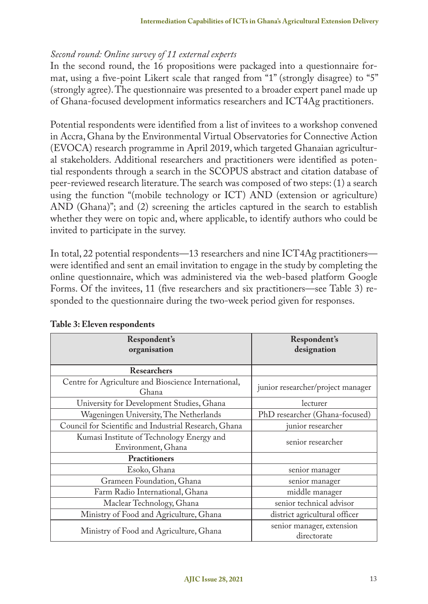# *Second round: Online survey of 11 external experts*

In the second round, the 16 propositions were packaged into a questionnaire format, using a five-point Likert scale that ranged from "1" (strongly disagree) to "5" (strongly agree). The questionnaire was presented to a broader expert panel made up of Ghana-focused development informatics researchers and ICT4Ag practitioners.

Potential respondents were identified from a list of invitees to a workshop convened in Accra, Ghana by the Environmental Virtual Observatories for Connective Action (EVOCA) research programme in April 2019, which targeted Ghanaian agricultural stakeholders. Additional researchers and practitioners were identified as potential respondents through a search in the SCOPUS abstract and citation database of peer-reviewed research literature. The search was composed of two steps: (1) a search using the function "(mobile technology or ICT) AND (extension or agriculture) AND (Ghana)"; and (2) screening the articles captured in the search to establish whether they were on topic and, where applicable, to identify authors who could be invited to participate in the survey.

In total, 22 potential respondents—13 researchers and nine ICT4Ag practitioners were identified and sent an email invitation to engage in the study by completing the online questionnaire, which was administered via the web-based platform Google Forms. Of the invitees, 11 (five researchers and six practitioners—see Table 3) responded to the questionnaire during the two-week period given for responses.

| Respondent's<br>organisation                                    | Respondent's<br>designation              |  |
|-----------------------------------------------------------------|------------------------------------------|--|
| <b>Researchers</b>                                              |                                          |  |
| Centre for Agriculture and Bioscience International,<br>Ghana   | junior researcher/project manager        |  |
| University for Development Studies, Ghana                       | lecturer                                 |  |
| Wageningen University, The Netherlands                          | PhD researcher (Ghana-focused)           |  |
| Council for Scientific and Industrial Research, Ghana           | junior researcher                        |  |
| Kumasi Institute of Technology Energy and<br>Environment, Ghana | senior researcher                        |  |
| <b>Practitioners</b>                                            |                                          |  |
| Esoko, Ghana                                                    | senior manager                           |  |
| Grameen Foundation, Ghana                                       | senior manager                           |  |
| Farm Radio International, Ghana                                 | middle manager                           |  |
| Maclear Technology, Ghana                                       | senior technical advisor                 |  |
| Ministry of Food and Agriculture, Ghana                         | district agricultural officer            |  |
| Ministry of Food and Agriculture, Ghana                         | senior manager, extension<br>directorate |  |

**Table 3: Eleven respondents**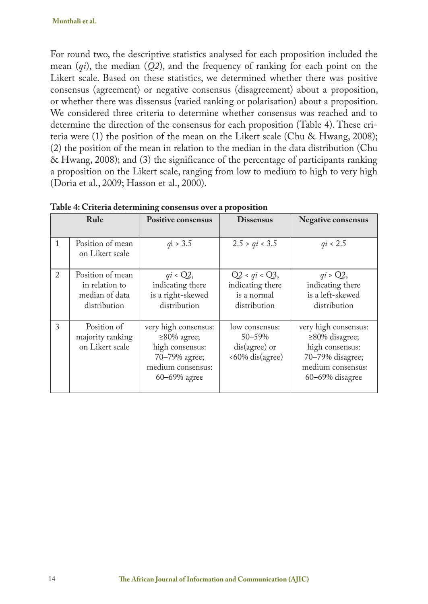For round two, the descriptive statistics analysed for each proposition included the mean (*qi*), the median (*Q2*), and the frequency of ranking for each point on the Likert scale. Based on these statistics, we determined whether there was positive consensus (agreement) or negative consensus (disagreement) about a proposition, or whether there was dissensus (varied ranking or polarisation) about a proposition. We considered three criteria to determine whether consensus was reached and to determine the direction of the consensus for each proposition (Table 4). These criteria were (1) the position of the mean on the Likert scale (Chu & Hwang, 2008); (2) the position of the mean in relation to the median in the data distribution (Chu & Hwang, 2008); and (3) the significance of the percentage of participants ranking a proposition on the Likert scale, ranging from low to medium to high to very high (Doria et al., 2009; Hasson et al., 2000).

|                | Table 4. CHIEFIA determining consensus over a proposition            |                                                                                                                    |                                                                     |                                                                                                                             |  |  |  |
|----------------|----------------------------------------------------------------------|--------------------------------------------------------------------------------------------------------------------|---------------------------------------------------------------------|-----------------------------------------------------------------------------------------------------------------------------|--|--|--|
|                | Rule                                                                 | <b>Positive consensus</b>                                                                                          | <b>Dissensus</b>                                                    | <b>Negative consensus</b>                                                                                                   |  |  |  |
| $\mathbf{1}$   | Position of mean<br>on Likert scale                                  | qi > 3.5                                                                                                           | 2.5 > qi < 3.5                                                      | qi < 2.5                                                                                                                    |  |  |  |
| $\mathfrak{D}$ | Position of mean<br>in relation to<br>median of data<br>distribution | $qi \triangleleft Q2$ ,<br>indicating there<br>is a right-skewed<br>distribution                                   | $Q2 < qi < Q3$ ,<br>indicating there<br>is a normal<br>distribution | $qi > Q2$ ,<br>indicating there<br>is a left-skewed<br>distribution                                                         |  |  |  |
| 3              | Position of<br>majority ranking<br>on Likert scale                   | very high consensus:<br>$\geq$ 80% agree;<br>high consensus:<br>70-79% agree;<br>medium consensus:<br>60-69% agree | low consensus:<br>50-59%<br>$dis(agree)$ or<br><60% dis(agree)      | very high consensus:<br>$\geq$ 80% disagree;<br>high consensus:<br>70-79% disagree;<br>medium consensus:<br>60-69% disagree |  |  |  |

**Table 4: Criteria determining consensus over a proposition**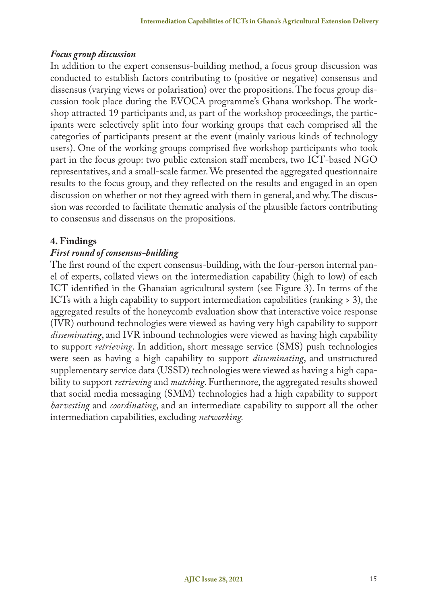# *Focus group discussion*

In addition to the expert consensus-building method, a focus group discussion was conducted to establish factors contributing to (positive or negative) consensus and dissensus (varying views or polarisation) over the propositions. The focus group discussion took place during the EVOCA programme's Ghana workshop. The workshop attracted 19 participants and, as part of the workshop proceedings, the participants were selectively split into four working groups that each comprised all the categories of participants present at the event (mainly various kinds of technology users). One of the working groups comprised five workshop participants who took part in the focus group: two public extension staff members, two ICT-based NGO representatives, and a small-scale farmer. We presented the aggregated questionnaire results to the focus group, and they reflected on the results and engaged in an open discussion on whether or not they agreed with them in general, and why. The discussion was recorded to facilitate thematic analysis of the plausible factors contributing to consensus and dissensus on the propositions.

# **4. Findings**

# *First round of consensus-building*

The first round of the expert consensus-building, with the four-person internal panel of experts, collated views on the intermediation capability (high to low) of each ICT identified in the Ghanaian agricultural system (see Figure 3). In terms of the ICTs with a high capability to support intermediation capabilities (ranking > 3), the aggregated results of the honeycomb evaluation show that interactive voice response (IVR) outbound technologies were viewed as having very high capability to support *disseminating*, and IVR inbound technologies were viewed as having high capability to support *retrieving*. In addition, short message service (SMS) push technologies were seen as having a high capability to support *disseminating*, and unstructured supplementary service data (USSD) technologies were viewed as having a high capability to support *retrieving* and *matching*. Furthermore, the aggregated results showed that social media messaging (SMM) technologies had a high capability to support *harvesting* and *coordinating*, and an intermediate capability to support all the other intermediation capabilities, excluding *networking.*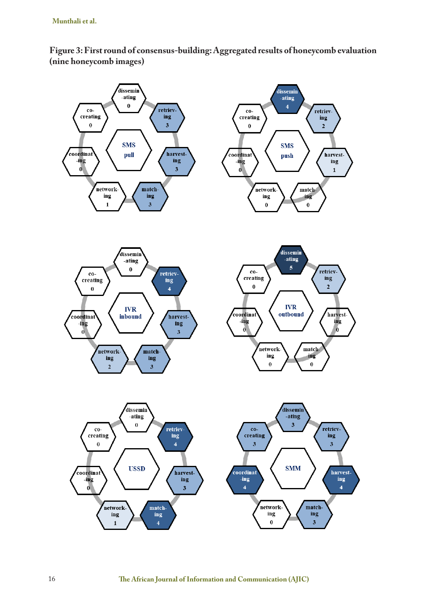

**Figure 3: First round of consensus-building: Aggregated results of honeycomb evaluation (nine honeycomb images)**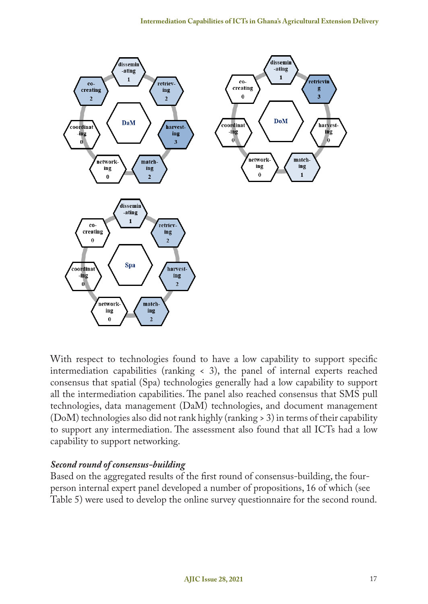

With respect to technologies found to have a low capability to support specific intermediation capabilities (ranking < 3), the panel of internal experts reached consensus that spatial (Spa) technologies generally had a low capability to support all the intermediation capabilities. The panel also reached consensus that SMS pull technologies, data management (DaM) technologies, and document management (DoM) technologies also did not rank highly (ranking > 3) in terms of their capability to support any intermediation. The assessment also found that all ICTs had a low capability to support networking.

# *Second round of consensus-building*

Based on the aggregated results of the first round of consensus-building, the fourperson internal expert panel developed a number of propositions, 16 of which (see Table 5) were used to develop the online survey questionnaire for the second round.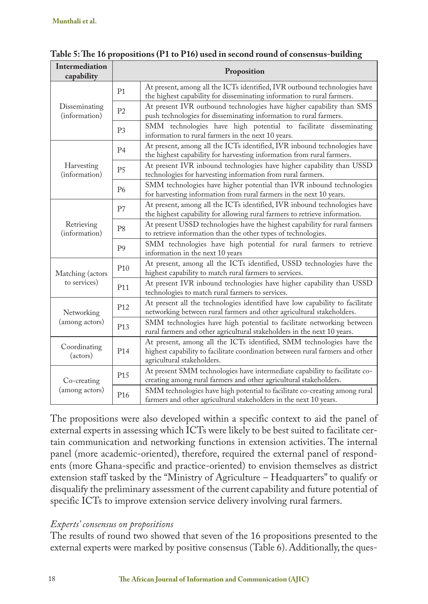| Intermediation<br>capability                | Proposition     |                                                                                                                                                                                     |  |  |  |  |  |
|---------------------------------------------|-----------------|-------------------------------------------------------------------------------------------------------------------------------------------------------------------------------------|--|--|--|--|--|
|                                             | P <sub>1</sub>  | At present, among all the ICTs identified, IVR outbound technologies have<br>the highest capability for disseminating information to rural farmers.                                 |  |  |  |  |  |
| Disseminating<br>(information)              | P <sub>2</sub>  | At present IVR outbound technologies have higher capability than SMS<br>push technologies for disseminating information to rural farmers.                                           |  |  |  |  |  |
|                                             | P <sub>3</sub>  | SMM technologies have high potential to facilitate disseminating<br>information to rural farmers in the next 10 years.                                                              |  |  |  |  |  |
|                                             | P <sub>4</sub>  | At present, among all the ICTs identified, IVR inbound technologies have<br>the highest capability for harvesting information from rural farmers.                                   |  |  |  |  |  |
| Harvesting<br>(information)                 | P <sub>5</sub>  | At present IVR inbound technologies have higher capability than USSD<br>technologies for harvesting information from rural farmers.                                                 |  |  |  |  |  |
|                                             | <b>P6</b>       | SMM technologies have higher potential than IVR inbound technologies<br>for harvesting information from rural farmers in the next 10 years.                                         |  |  |  |  |  |
|                                             | P7              | At present, among all the ICTs identified, IVR inbound technologies have<br>the highest capability for allowing rural farmers to retrieve information.                              |  |  |  |  |  |
| Retrieving<br>(information)                 | P <sub>8</sub>  | At present USSD technologies have the highest capability for rural farmers<br>to retrieve information than the other types of technologies.                                         |  |  |  |  |  |
|                                             | P <sub>9</sub>  | SMM technologies have high potential for rural farmers to retrieve<br>information in the next 10 years                                                                              |  |  |  |  |  |
| Matching (actors                            | P <sub>10</sub> | At present, among all the ICTs identified, USSD technologies have the<br>highest capability to match rural farmers to services.                                                     |  |  |  |  |  |
| to services)                                | P <sub>11</sub> | At present IVR inbound technologies have higher capability than USSD<br>technologies to match rural farmers to services.                                                            |  |  |  |  |  |
| Networking                                  | P <sub>12</sub> | At present all the technologies identified have low capability to facilitate<br>networking between rural farmers and other agricultural stakeholders.                               |  |  |  |  |  |
| (among actors)                              | P <sub>13</sub> | SMM technologies have high potential to facilitate networking between<br>rural farmers and other agricultural stakeholders in the next 10 years.                                    |  |  |  |  |  |
| Coordinating<br>P <sub>14</sub><br>(actors) |                 | At present, among all the ICTs identified, SMM technologies have the<br>highest capability to facilitate coordination between rural farmers and other<br>agricultural stakeholders. |  |  |  |  |  |
| Co-creating                                 | P <sub>15</sub> | At present SMM technologies have intermediate capability to facilitate co-<br>creating among rural farmers and other agricultural stakeholders.                                     |  |  |  |  |  |
| (among actors)                              | P <sub>16</sub> | SMM technologies have high potential to facilitate co-creating among rural<br>farmers and other agricultural stakeholders in the next 10 years.                                     |  |  |  |  |  |

#### **Table 5: The 16 propositions (P1 to P16) used in second round of consensus-building**

The propositions were also developed within a specific context to aid the panel of external experts in assessing which ICTs were likely to be best suited to facilitate certain communication and networking functions in extension activities. The internal panel (more academic-oriented), therefore, required the external panel of respondents (more Ghana-specific and practice-oriented) to envision themselves as district extension staff tasked by the "Ministry of Agriculture – Headquarters" to qualify or disqualify the preliminary assessment of the current capability and future potential of specific ICTs to improve extension service delivery involving rural farmers.

# *Experts' consensus on propositions*

The results of round two showed that seven of the 16 propositions presented to the external experts were marked by positive consensus (Table 6). Additionally, the ques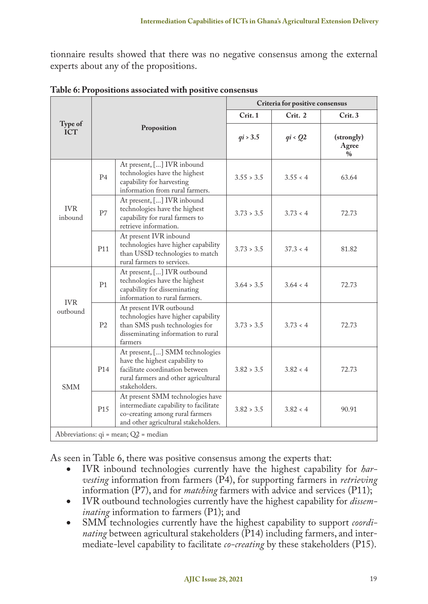tionnaire results showed that there was no negative consensus among the external experts about any of the propositions.

|                        | Proposition     |                                                                                                                                                               | Criteria for positive consensus |                       |                                      |  |
|------------------------|-----------------|---------------------------------------------------------------------------------------------------------------------------------------------------------------|---------------------------------|-----------------------|--------------------------------------|--|
|                        |                 |                                                                                                                                                               | Crit. 1                         | Crit. 2               | Crit.3                               |  |
| Type of<br><b>ICT</b>  |                 |                                                                                                                                                               | qi > 3.5                        | $qi \triangleleft Q2$ | (strongly)<br>Agree<br>$\frac{0}{0}$ |  |
|                        | P <sub>4</sub>  | At present, [] IVR inbound<br>technologies have the highest<br>capability for harvesting<br>information from rural farmers.                                   | 3.55 > 3.5                      | 3.55 < 4              | 63.64                                |  |
| <b>IVR</b><br>inbound  | P7              | At present, [] IVR inbound<br>technologies have the highest<br>capability for rural farmers to<br>retrieve information.                                       | 3.73 > 3.5                      | 3.73 < 4              | 72.73                                |  |
|                        | P11             | At present IVR inbound<br>technologies have higher capability<br>than USSD technologies to match<br>rural farmers to services.                                | 3.73 > 3.5                      | 37.3 < 4              | 81.82                                |  |
| <b>IVR</b><br>outbound | P1              | At present, [] IVR outbound<br>technologies have the highest<br>capability for disseminating<br>information to rural farmers.                                 | 3.64 > 3.5                      | 3.64 < 4              | 72.73                                |  |
|                        | P <sub>2</sub>  | At present IVR outbound<br>technologies have higher capability<br>than SMS push technologies for<br>disseminating information to rural<br>farmers             | 3.73 > 3.5                      | 3.73 < 4              | 72.73                                |  |
| <b>SMM</b>             | P <sub>14</sub> | At present, [] SMM technologies<br>have the highest capability to<br>facilitate coordination between<br>rural farmers and other agricultural<br>stakeholders. | 3.82 > 3.5                      | 3.82 < 4              | 72.73                                |  |
|                        | P <sub>15</sub> | At present SMM technologies have<br>intermediate capability to facilitate<br>co-creating among rural farmers<br>and other agricultural stakeholders.          | 3.82 > 3.5                      | 3.82 < 4              | 90.91                                |  |
|                        |                 | Abbreviations: $qi = mean$ ; $Q2 = median$                                                                                                                    |                                 |                       |                                      |  |

**Table 6: Propositions associated with positive consensus**

As seen in Table 6, there was positive consensus among the experts that:

- • IVR inbound technologies currently have the highest capability for *harvesting* information from farmers (P4), for supporting farmers in *retrieving*  information (P7), and for *matching* farmers with advice and services (P11);
- IVR outbound technologies currently have the highest capability for *disseminating* information to farmers (P1); and
- SMM technologies currently have the highest capability to support *coordinating* between agricultural stakeholders (P14) including farmers, and intermediate-level capability to facilitate *co-creating* by these stakeholders (P15).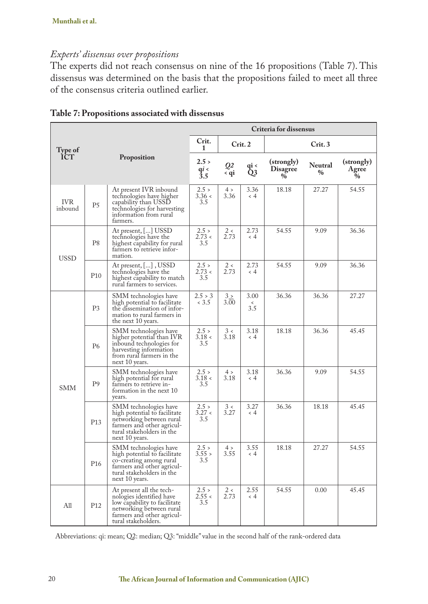# *Experts' dissensus over propositions*

The experts did not reach consensus on nine of the 16 propositions (Table 7). This dissensus was determined on the basis that the propositions failed to meet all three of the consensus criteria outlined earlier.

|                       | Criteria for dissensus |                                                                                                                                                                       |                         |                  |                        |                                       |                          |                                   |
|-----------------------|------------------------|-----------------------------------------------------------------------------------------------------------------------------------------------------------------------|-------------------------|------------------|------------------------|---------------------------------------|--------------------------|-----------------------------------|
| Type of               |                        |                                                                                                                                                                       |                         |                  | Crit. 2                | Crit. 3                               |                          |                                   |
| <b>ICT</b>            |                        | Proposition                                                                                                                                                           | 2.5 ><br>$q_i^i$<br>3.5 | Q2<br>< qi       | qi <<br>Q3             | (strongly)<br><b>Disagree</b><br>$\%$ | Neutral<br>$\frac{0}{0}$ | (strongly)<br>Agree<br>$\phi_{0}$ |
| <b>IVR</b><br>inbound | P <sub>5</sub>         | At present IVR inbound<br>technologies have higher<br>capability than USSD<br>technologies for harvesting<br>information from rural<br>farmers.                       | 2.5 ><br>3.36 <<br>3.5  | 4 ><br>3.36      | 3.36<br>$\leq 4$       | 18.18                                 | 27.27                    | 54.55                             |
| <b>USSD</b>           | P <sub>8</sub>         | At present, [] USSD<br>technologies have the<br>highest capability for rural<br>farmers to retrieve infor-<br>mation.                                                 | 2.5 ><br>2.73 <<br>3.5  | 2<<br>2.73       | 2.73<br>$\langle$ 4    | 54.55                                 | 9.09                     | 36.36                             |
|                       | P <sub>10</sub>        | At present, [], USSD<br>technologies have the<br>highest capability to match<br>rural farmers to services.                                                            | 2.5 ><br>2.73 <<br>3.5  | 2<<br>2.73       | 2.73<br>$\leq 4$       | 54.55                                 | 9.09                     | 36.36                             |
| <b>SMM</b>            | P <sub>3</sub>         | SMM technologies have<br>high potential to facilitate<br>the dissemination of infor-<br>mation to rural farmers in<br>the next 10 years.                              | 2.5 > 3<br>< 3.5        | $3 \geq$<br>3.00 | 3.00<br>$\prec$<br>3.5 | 36.36                                 | 36.36                    | 27.27                             |
|                       | <b>P6</b>              | SMM technologies have<br>higher potential than IVR<br>inbound technologies for<br>harvesting information<br>from rural farmers in the<br>next 10 years.               | 2.5 ><br>3.18 <<br>3.5  | 3 <<br>3.18      | 3.18<br>$\lt 4$        | 18.18                                 | 36.36                    | 45.45                             |
|                       | P <sub>9</sub>         | SMM technologies have<br>high potential for rural<br>farmers to retrieve in-<br>formation in the next 10<br>years.                                                    | 2.5 ><br>3.18 <<br>3.5  | 4 ><br>3.18      | 3.18<br>$\leq 4$       | 36.36                                 | 9.09                     | 54.55                             |
|                       | P <sub>13</sub>        | SMM technologies have<br>high potential to facilitate<br>networking between rural<br>farmers and other agricul-<br>tural stakeholders in the<br>next 10 years.        | 2.5 ><br>3.27 <<br>3.5  | 3 <<br>3.27      | 3.27<br>$\lt 4$        | 36.36                                 | 18.18                    | 45.45                             |
|                       | P <sub>16</sub>        | SMM technologies have<br>high potential to facilitate<br>co-creating among rural<br>farmers and other agricul-<br>tural stakeholders in the<br>next 10 years.         | 2.5 ><br>3.55 ><br>3.5  | 4 ><br>3.55      | 3.55<br>$\leq 4$       | 18.18                                 | 27.27                    | 54.55                             |
| A11                   | P <sub>12</sub>        | At present all the tech-<br>nologies identified have<br>low capability to facilitate<br>networking between rural<br>farmers and other agricul-<br>tural stakeholders. | 2.5 ><br>2.55 <<br>3.5  | 2 <<br>2.73      | 2.55<br>$\langle 4$    | 54.55                                 | 0.00                     | 45.45                             |

Abbreviations: qi: mean; Q2: median; Q3: "middle" value in the second half of the rank-ordered data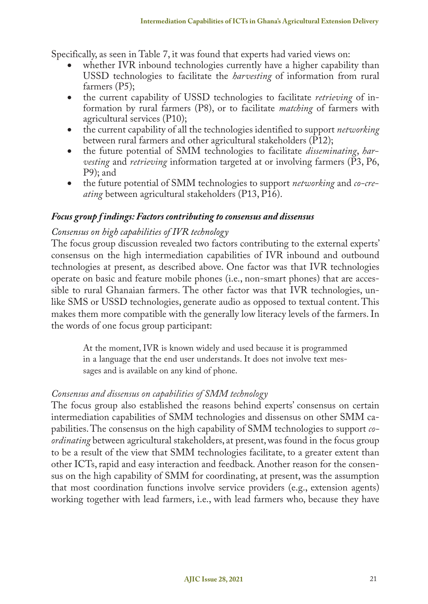Specifically, as seen in Table 7, it was found that experts had varied views on:

- whether IVR inbound technologies currently have a higher capability than USSD technologies to facilitate the *harvesting* of information from rural farmers (P5);
- the current capability of USSD technologies to facilitate *retrieving* of information by rural farmers (P8), or to facilitate *matching* of farmers with agricultural services (P10);
- the current capability of all the technologies identified to support *networking* between rural farmers and other agricultural stakeholders (P12);
- the future potential of SMM technologies to facilitate *disseminating*, *harvesting* and *retrieving* information targeted at or involving farmers (P3, P6, P9); and
- the future potential of SMM technologies to support *networking* and *co-creating* between agricultural stakeholders (P13, P16).

#### *Focus group f indings: Factors contributing to consensus and dissensus*

# *Consensus on high capabilities of IVR technology*

The focus group discussion revealed two factors contributing to the external experts' consensus on the high intermediation capabilities of IVR inbound and outbound technologies at present, as described above. One factor was that IVR technologies operate on basic and feature mobile phones (i.e., non-smart phones) that are accessible to rural Ghanaian farmers. The other factor was that IVR technologies, unlike SMS or USSD technologies, generate audio as opposed to textual content. This makes them more compatible with the generally low literacy levels of the farmers. In the words of one focus group participant:

At the moment, IVR is known widely and used because it is programmed in a language that the end user understands. It does not involve text messages and is available on any kind of phone.

# *Consensus and dissensus on capabilities of SMM technology*

The focus group also established the reasons behind experts' consensus on certain intermediation capabilities of SMM technologies and dissensus on other SMM capabilities. The consensus on the high capability of SMM technologies to support *coordinating* between agricultural stakeholders, at present, was found in the focus group to be a result of the view that SMM technologies facilitate, to a greater extent than other ICTs, rapid and easy interaction and feedback. Another reason for the consensus on the high capability of SMM for coordinating, at present, was the assumption that most coordination functions involve service providers (e.g., extension agents) working together with lead farmers, i.e., with lead farmers who, because they have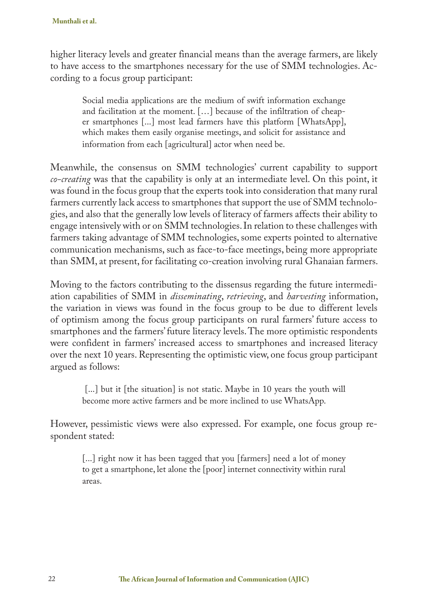higher literacy levels and greater financial means than the average farmers, are likely to have access to the smartphones necessary for the use of SMM technologies. According to a focus group participant:

Social media applications are the medium of swift information exchange and facilitation at the moment. […] because of the infiltration of cheaper smartphones [...] most lead farmers have this platform [WhatsApp], which makes them easily organise meetings, and solicit for assistance and information from each [agricultural] actor when need be.

Meanwhile, the consensus on SMM technologies' current capability to support *co-creating* was that the capability is only at an intermediate level. On this point, it was found in the focus group that the experts took into consideration that many rural farmers currently lack access to smartphones that support the use of SMM technologies, and also that the generally low levels of literacy of farmers affects their ability to engage intensively with or on SMM technologies. In relation to these challenges with farmers taking advantage of SMM technologies, some experts pointed to alternative communication mechanisms, such as face-to-face meetings, being more appropriate than SMM, at present, for facilitating co-creation involving rural Ghanaian farmers.

Moving to the factors contributing to the dissensus regarding the future intermediation capabilities of SMM in *disseminating*, *retrieving*, and *harvesting* information, the variation in views was found in the focus group to be due to different levels of optimism among the focus group participants on rural farmers' future access to smartphones and the farmers' future literacy levels. The more optimistic respondents were confident in farmers' increased access to smartphones and increased literacy over the next 10 years. Representing the optimistic view, one focus group participant argued as follows:

[...] but it [the situation] is not static. Maybe in 10 years the youth will become more active farmers and be more inclined to use WhatsApp.

However, pessimistic views were also expressed. For example, one focus group respondent stated:

[...] right now it has been tagged that you [farmers] need a lot of money to get a smartphone, let alone the [poor] internet connectivity within rural areas.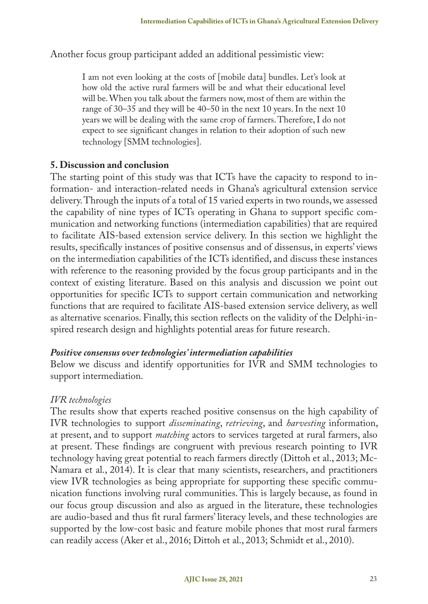Another focus group participant added an additional pessimistic view:

I am not even looking at the costs of [mobile data] bundles. Let's look at how old the active rural farmers will be and what their educational level will be. When you talk about the farmers now, most of them are within the range of 30–35 and they will be 40–50 in the next 10 years. In the next 10 years we will be dealing with the same crop of farmers. Therefore, I do not expect to see significant changes in relation to their adoption of such new technology [SMM technologies].

# **5. Discussion and conclusion**

The starting point of this study was that ICTs have the capacity to respond to information- and interaction-related needs in Ghana's agricultural extension service delivery. Through the inputs of a total of 15 varied experts in two rounds, we assessed the capability of nine types of ICTs operating in Ghana to support specific communication and networking functions (intermediation capabilities) that are required to facilitate AIS-based extension service delivery. In this section we highlight the results, specifically instances of positive consensus and of dissensus, in experts' views on the intermediation capabilities of the ICTs identified, and discuss these instances with reference to the reasoning provided by the focus group participants and in the context of existing literature. Based on this analysis and discussion we point out opportunities for specific ICTs to support certain communication and networking functions that are required to facilitate AIS-based extension service delivery, as well as alternative scenarios. Finally, this section reflects on the validity of the Delphi-inspired research design and highlights potential areas for future research.

# *Positive consensus over technologies' intermediation capabilities*

Below we discuss and identify opportunities for IVR and SMM technologies to support intermediation.

# *IVR technologies*

The results show that experts reached positive consensus on the high capability of IVR technologies to support *disseminating*, *retrieving*, and *harvesting* information, at present, and to support *matching* actors to services targeted at rural farmers, also at present. These findings are congruent with previous research pointing to IVR technology having great potential to reach farmers directly (Dittoh et al., 2013; Mc-Namara et al., 2014). It is clear that many scientists, researchers, and practitioners view IVR technologies as being appropriate for supporting these specific communication functions involving rural communities. This is largely because, as found in our focus group discussion and also as argued in the literature, these technologies are audio-based and thus fit rural farmers' literacy levels, and these technologies are supported by the low-cost basic and feature mobile phones that most rural farmers can readily access (Aker et al., 2016; Dittoh et al., 2013; Schmidt et al., 2010).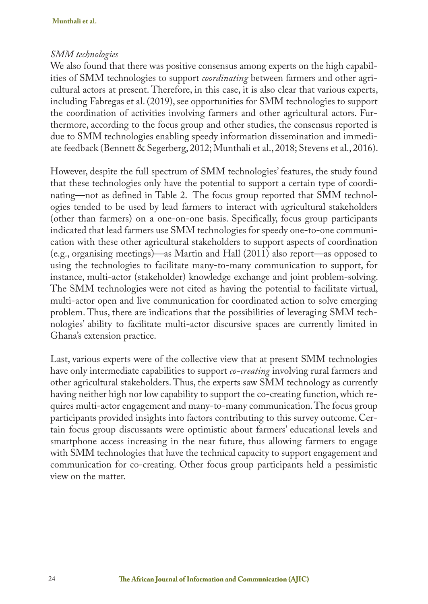#### *SMM technologies*

We also found that there was positive consensus among experts on the high capabilities of SMM technologies to support *coordinating* between farmers and other agricultural actors at present. Therefore, in this case, it is also clear that various experts, including Fabregas et al. (2019), see opportunities for SMM technologies to support the coordination of activities involving farmers and other agricultural actors. Furthermore, according to the focus group and other studies, the consensus reported is due to SMM technologies enabling speedy information dissemination and immediate feedback (Bennett & Segerberg, 2012; Munthali et al., 2018; Stevens et al., 2016).

However, despite the full spectrum of SMM technologies' features, the study found that these technologies only have the potential to support a certain type of coordinating—not as defined in Table 2. The focus group reported that SMM technologies tended to be used by lead farmers to interact with agricultural stakeholders (other than farmers) on a one-on-one basis. Specifically, focus group participants indicated that lead farmers use SMM technologies for speedy one-to-one communication with these other agricultural stakeholders to support aspects of coordination (e.g., organising meetings)—as Martin and Hall (2011) also report—as opposed to using the technologies to facilitate many-to-many communication to support, for instance, multi-actor (stakeholder) knowledge exchange and joint problem-solving. The SMM technologies were not cited as having the potential to facilitate virtual, multi-actor open and live communication for coordinated action to solve emerging problem. Thus, there are indications that the possibilities of leveraging SMM technologies' ability to facilitate multi-actor discursive spaces are currently limited in Ghana's extension practice.

Last, various experts were of the collective view that at present SMM technologies have only intermediate capabilities to support *co-creating* involving rural farmers and other agricultural stakeholders. Thus, the experts saw SMM technology as currently having neither high nor low capability to support the co-creating function, which requires multi-actor engagement and many-to-many communication. The focus group participants provided insights into factors contributing to this survey outcome. Certain focus group discussants were optimistic about farmers' educational levels and smartphone access increasing in the near future, thus allowing farmers to engage with SMM technologies that have the technical capacity to support engagement and communication for co-creating. Other focus group participants held a pessimistic view on the matter.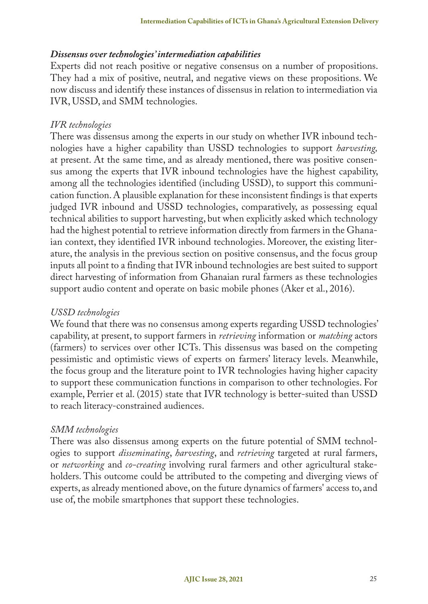#### *Dissensus over technologies' intermediation capabilities*

Experts did not reach positive or negative consensus on a number of propositions. They had a mix of positive, neutral, and negative views on these propositions. We now discuss and identify these instances of dissensus in relation to intermediation via IVR, USSD, and SMM technologies.

#### *IVR technologies*

There was dissensus among the experts in our study on whether IVR inbound technologies have a higher capability than USSD technologies to support *harvesting,*  at present. At the same time, and as already mentioned, there was positive consensus among the experts that IVR inbound technologies have the highest capability, among all the technologies identified (including USSD), to support this communication function. A plausible explanation for these inconsistent findings is that experts judged IVR inbound and USSD technologies, comparatively, as possessing equal technical abilities to support harvesting, but when explicitly asked which technology had the highest potential to retrieve information directly from farmers in the Ghanaian context, they identified IVR inbound technologies. Moreover, the existing literature, the analysis in the previous section on positive consensus, and the focus group inputs all point to a finding that IVR inbound technologies are best suited to support direct harvesting of information from Ghanaian rural farmers as these technologies support audio content and operate on basic mobile phones (Aker et al., 2016).

# *USSD technologies*

We found that there was no consensus among experts regarding USSD technologies' capability, at present, to support farmers in *retrieving* information or *matching* actors (farmers) to services over other ICTs. This dissensus was based on the competing pessimistic and optimistic views of experts on farmers' literacy levels. Meanwhile, the focus group and the literature point to IVR technologies having higher capacity to support these communication functions in comparison to other technologies. For example, Perrier et al. (2015) state that IVR technology is better-suited than USSD to reach literacy-constrained audiences.

#### *SMM technologies*

There was also dissensus among experts on the future potential of SMM technologies to support *disseminating*, *harvesting*, and *retrieving* targeted at rural farmers, or *networking* and *co-creating* involving rural farmers and other agricultural stakeholders. This outcome could be attributed to the competing and diverging views of experts, as already mentioned above, on the future dynamics of farmers' access to, and use of, the mobile smartphones that support these technologies.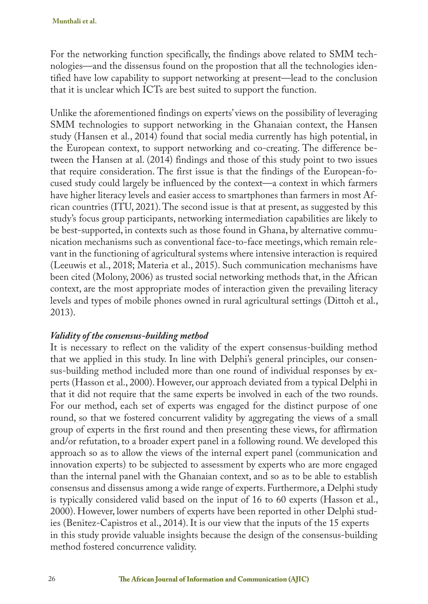For the networking function specifically, the findings above related to SMM technologies—and the dissensus found on the propostion that all the technologies identified have low capability to support networking at present—lead to the conclusion that it is unclear which ICTs are best suited to support the function.

Unlike the aforementioned findings on experts' views on the possibility of leveraging SMM technologies to support networking in the Ghanaian context, the Hansen study (Hansen et al., 2014) found that social media currently has high potential, in the European context, to support networking and co-creating. The difference between the Hansen at al. (2014) findings and those of this study point to two issues that require consideration. The first issue is that the findings of the European-focused study could largely be influenced by the context—a context in which farmers have higher literacy levels and easier access to smartphones than farmers in most African countries (ITU, 2021). The second issue is that at present, as suggested by this study's focus group participants, networking intermediation capabilities are likely to be best-supported, in contexts such as those found in Ghana, by alternative communication mechanisms such as conventional face-to-face meetings, which remain relevant in the functioning of agricultural systems where intensive interaction is required (Leeuwis et al., 2018; Materia et al., 2015). Such communication mechanisms have been cited (Molony, 2006) as trusted social networking methods that, in the African context, are the most appropriate modes of interaction given the prevailing literacy levels and types of mobile phones owned in rural agricultural settings (Dittoh et al., 2013).

# *Validity of the consensus-building method*

It is necessary to reflect on the validity of the expert consensus-building method that we applied in this study. In line with Delphi's general principles, our consensus-building method included more than one round of individual responses by experts (Hasson et al., 2000). However, our approach deviated from a typical Delphi in that it did not require that the same experts be involved in each of the two rounds. For our method, each set of experts was engaged for the distinct purpose of one round, so that we fostered concurrent validity by aggregating the views of a small group of experts in the first round and then presenting these views, for affirmation and/or refutation, to a broader expert panel in a following round. We developed this approach so as to allow the views of the internal expert panel (communication and innovation experts) to be subjected to assessment by experts who are more engaged than the internal panel with the Ghanaian context, and so as to be able to establish consensus and dissensus among a wide range of experts. Furthermore, a Delphi study is typically considered valid based on the input of 16 to 60 experts (Hasson et al., 2000). However, lower numbers of experts have been reported in other Delphi studies (Benitez-Capistros et al., 2014). It is our view that the inputs of the 15 experts in this study provide valuable insights because the design of the consensus-building method fostered concurrence validity.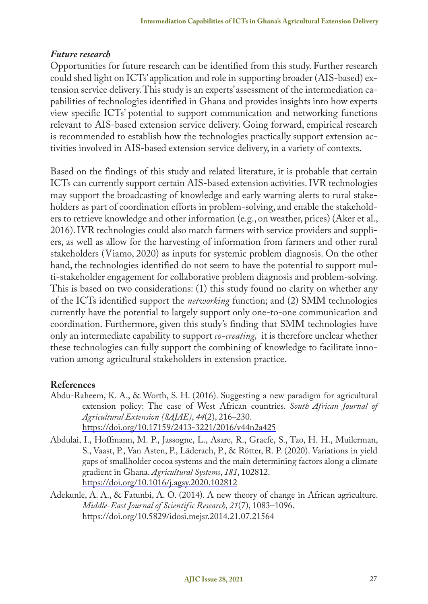# *Future research*

Opportunities for future research can be identified from this study. Further research could shed light on ICTs' application and role in supporting broader (AIS-based) extension service delivery. This study is an experts' assessment of the intermediation capabilities of technologies identified in Ghana and provides insights into how experts view specific ICTs' potential to support communication and networking functions relevant to AIS-based extension service delivery. Going forward, empirical research is recommended to establish how the technologies practically support extension activities involved in AIS-based extension service delivery, in a variety of contexts.

Based on the findings of this study and related literature, it is probable that certain ICTs can currently support certain AIS-based extension activities. IVR technologies may support the broadcasting of knowledge and early warning alerts to rural stakeholders as part of coordination efforts in problem-solving, and enable the stakeholders to retrieve knowledge and other information (e.g., on weather, prices) (Aker et al., 2016). IVR technologies could also match farmers with service providers and suppliers, as well as allow for the harvesting of information from farmers and other rural stakeholders (Viamo, 2020) as inputs for systemic problem diagnosis. On the other hand, the technologies identified do not seem to have the potential to support multi-stakeholder engagement for collaborative problem diagnosis and problem-solving. This is based on two considerations: (1) this study found no clarity on whether any of the ICTs identified support the *networking* function; and (2) SMM technologies currently have the potential to largely support only one-to-one communication and coordination. Furthermore, given this study's finding that SMM technologies have only an intermediate capability to support *co-creating,* it is therefore unclear whether these technologies can fully support the combining of knowledge to facilitate innovation among agricultural stakeholders in extension practice.

# **References**

- Abdu-Raheem, K. A., & Worth, S. H. (2016). Suggesting a new paradigm for agricultural extension policy: The case of West African countries. *South African Journal of Agricultural Extension (SAJAE)*, *44*(2), 216–230. https://doi.org/10.17159/2413-3221/2016/v44n2a425
- Abdulai, I., Hoffmann, M. P., Jassogne, L., Asare, R., Graefe, S., Tao, H. H., Muilerman, S., Vaast, P., Van Asten, P., Läderach, P., & Rötter, R. P. (2020). Variations in yield gaps of smallholder cocoa systems and the main determining factors along a climate gradient in Ghana. *Agricultural Systems*, *181*, 102812. https://doi.org/10.1016/j.agsy.2020.102812
- Adekunle, A. A., & Fatunbi, A. O. (2014). A new theory of change in African agriculture. *Middle-East Journal of Scientific Research*, *21*(7), 1083–1096. https://doi.org/10.5829/idosi.mejsr.2014.21.07.21564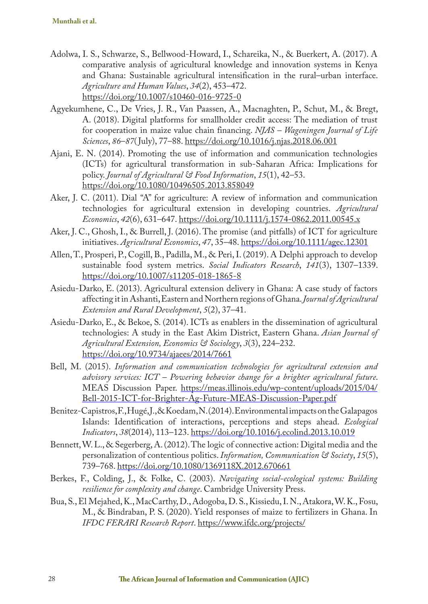- Adolwa, I. S., Schwarze, S., Bellwood-Howard, I., Schareika, N., & Buerkert, A. (2017). A comparative analysis of agricultural knowledge and innovation systems in Kenya and Ghana: Sustainable agricultural intensification in the rural–urban interface. *Agriculture and Human Values*, *34*(2), 453–472. https://doi.org/10.1007/s10460-016-9725-0
- Agyekumhene, C., De Vries, J. R., Van Paassen, A., Macnaghten, P., Schut, M., & Bregt, A. (2018). Digital platforms for smallholder credit access: The mediation of trust for cooperation in maize value chain financing. *NJAS – Wageningen Journal of Life Sciences*, *86*–*87*( July), 77–88. https://doi.org/10.1016/j.njas.2018.06.001
- Ajani, E. N. (2014). Promoting the use of information and communication technologies (ICTs) for agricultural transformation in sub-Saharan Africa: Implications for policy. *Journal of Agricultural & Food Information*, *15*(1), 42–53. https://doi.org/10.1080/10496505.2013.858049
- Aker, J. C. (2011). Dial "A" for agriculture: A review of information and communication technologies for agricultural extension in developing countries. *Agricultural Economics*, *42*(6), 631–647. https://doi.org/10.1111/j.1574-0862.2011.00545.x
- Aker, J. C., Ghosh, I., & Burrell, J. (2016). The promise (and pitfalls) of ICT for agriculture initiatives. *Agricultural Economics*, *47*, 35–48. https://doi.org/10.1111/agec.12301
- Allen, T., Prosperi, P., Cogill, B., Padilla, M., & Peri, I. (2019). A Delphi approach to develop sustainable food system metrics. *Social Indicators Research*, *141*(3), 1307–1339. https://doi.org/10.1007/s11205-018-1865-8
- Asiedu-Darko, E. (2013). Agricultural extension delivery in Ghana: A case study of factors affecting it in Ashanti, Eastern and Northern regions of Ghana. *Journal of Agricultural Extension and Rural Development*, *5*(2), 37–41.
- Asiedu-Darko, E., & Bekoe, S. (2014). ICTs as enablers in the dissemination of agricultural technologies: A study in the East Akim District, Eastern Ghana. *Asian Journal of Agricultural Extension, Economics & Sociology*, *3*(3), 224–232. https://doi.org/10.9734/ajaees/2014/7661
- Bell, M. (2015). *Information and communication technologies for agricultural extension and advisory services: ICT – Powering behavior change for a brighter agricultural future*. MEAS Discussion Paper. https://meas.illinois.edu/wp-content/uploads/2015/04/ Bell-2015-ICT-for-Brighter-Ag-Future-MEAS-Discussion-Paper.pdf
- Benitez-Capistros, F., Hugé, J., & Koedam, N. (2014). Environmental impacts on the Galapagos Islands: Identification of interactions, perceptions and steps ahead. *Ecological Indicators*, *38*(2014), 113–123. https://doi.org/10.1016/j.ecolind.2013.10.019
- Bennett, W. L., & Segerberg, A. (2012). The logic of connective action: Digital media and the personalization of contentious politics. *Information, Communication & Society*, *15*(5), 739–768. https://doi.org/10.1080/1369118X.2012.670661
- Berkes, F., Colding, J., & Folke, C. (2003). *Navigating social-ecological systems: Building resilience for complexity and change*. Cambridge University Press.
- Bua, S., El Mejahed, K., MacCarthy, D., Adogoba, D. S., Kissiedu, I. N., Atakora, W. K., Fosu, M., & Bindraban, P. S. (2020). Yield responses of maize to fertilizers in Ghana. In *IFDC FERARI Research Report*. https://www.ifdc.org/projects/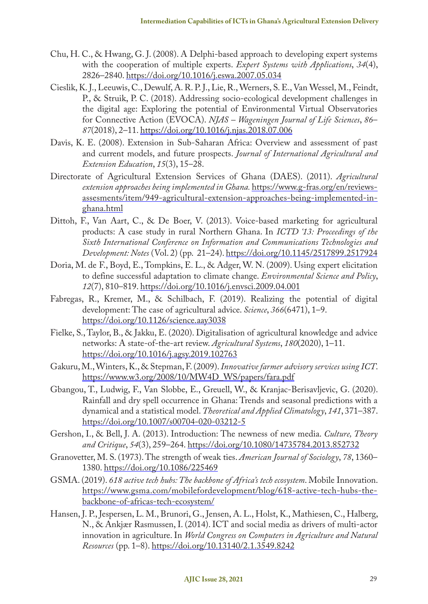- Chu, H. C., & Hwang, G. J. (2008). A Delphi-based approach to developing expert systems with the cooperation of multiple experts. *Expert Systems with Applications*, *34*(4), 2826–2840. https://doi.org/10.1016/j.eswa.2007.05.034
- Cieslik, K. J., Leeuwis, C., Dewulf, A. R. P. J., Lie, R., Werners, S. E., Van Wessel, M., Feindt, P., & Struik, P. C. (2018). Addressing socio-ecological development challenges in the digital age: Exploring the potential of Environmental Virtual Observatories for Connective Action (EVOCA). *NJAS – Wageningen Journal of Life Sciences*, *86*– *87*(2018), 2–11. https://doi.org/10.1016/j.njas.2018.07.006
- Davis, K. E. (2008). Extension in Sub-Saharan Africa: Overview and assessment of past and current models, and future prospects. *Journal of International Agricultural and Extension Education*, *15*(3), 15–28.
- Directorate of Agricultural Extension Services of Ghana (DAES). (2011). *Agricultural extension approaches being implemented in Ghana.* https://www.g-fras.org/en/reviewsassesments/item/949-agricultural-extension-approaches-being-implemented-inghana.html
- Dittoh, F., Van Aart, C., & De Boer, V. (2013). Voice-based marketing for agricultural products: A case study in rural Northern Ghana. In *ICTD '13: Proceedings of the Sixth International Conference on Information and Communications Technologies and Development: Notes* (Vol. 2) (pp. 21–24). https://doi.org/10.1145/2517899.2517924
- Doria, M. de F., Boyd, E., Tompkins, E. L., & Adger, W. N. (2009). Using expert elicitation to define successful adaptation to climate change. *Environmental Science and Policy*, *12*(7), 810–819. https://doi.org/10.1016/j.envsci.2009.04.001
- Fabregas, R., Kremer, M., & Schilbach, F. (2019). Realizing the potential of digital development: The case of agricultural advice. *Science*, *366*(6471), 1–9. https://doi.org/10.1126/science.aay3038
- Fielke, S., Taylor, B., & Jakku, E. (2020). Digitalisation of agricultural knowledge and advice networks: A state-of-the-art review. *Agricultural Systems*, *180*(2020), 1–11. https://doi.org/10.1016/j.agsy.2019.102763
- Gakuru, M., Winters, K., & Stepman, F. (2009). *Innovative farmer advisory services using ICT*. https://www.w3.org/2008/10/MW4D\_WS/papers/fara.pdf
- Gbangou, T., Ludwig, F., Van Slobbe, E., Greuell, W., & Kranjac-Berisavljevic, G. (2020). Rainfall and dry spell occurrence in Ghana: Trends and seasonal predictions with a dynamical and a statistical model. *Theoretical and Applied Climatology*, *141*, 371–387. https://doi.org/10.1007/s00704-020-03212-5
- Gershon, I., & Bell, J. A. (2013). Introduction: The newness of new media. *Culture, Theory and Critique*, *54*(3), 259–264. https://doi.org/10.1080/14735784.2013.852732
- Granovetter, M. S. (1973). The strength of weak ties. *American Journal of Sociology*, *78*, 1360– 1380. https://doi.org/10.1086/225469
- GSMA. (2019). *618 active tech hubs: The backbone of Africa's tech ecosystem*. Mobile Innovation. https://www.gsma.com/mobilefordevelopment/blog/618-active-tech-hubs-thebackbone-of-africas-tech-ecosystem/
- Hansen, J. P., Jespersen, L. M., Brunori, G., Jensen, A. L., Holst, K., Mathiesen, C., Halberg, N., & Ankjær Rasmussen, I. (2014). ICT and social media as drivers of multi-actor innovation in agriculture. In *World Congress on Computers in Agriculture and Natural Resources* (pp. 1–8). https://doi.org/10.13140/2.1.3549.8242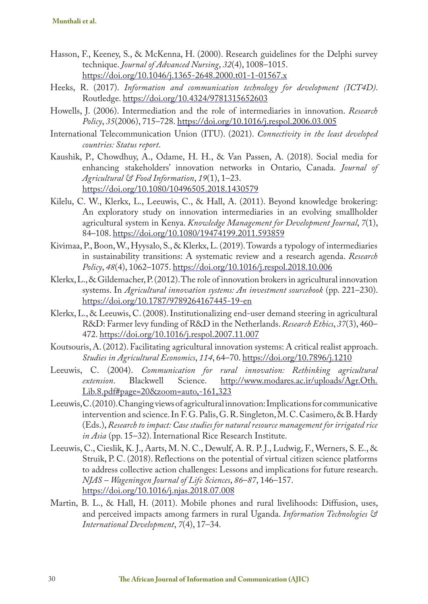- Hasson, F., Keeney, S., & McKenna, H. (2000). Research guidelines for the Delphi survey technique. *Journal of Advanced Nursing*, *32*(4), 1008–1015. https://doi.org/10.1046/j.1365-2648.2000.t01-1-01567.x
- Heeks, R. (2017). *Information and communication technology for development (ICT4D)*. Routledge. https://doi.org/10.4324/9781315652603
- Howells, J. (2006). Intermediation and the role of intermediaries in innovation. *Research Policy*, *35*(2006), 715–728. https://doi.org/10.1016/j.respol.2006.03.005
- International Telecommunication Union (ITU). (2021). *Connectivity in the least developed countries: Status report*.
- Kaushik, P., Chowdhuy, A., Odame, H. H., & Van Passen, A. (2018). Social media for enhancing stakeholders' innovation networks in Ontario, Canada. *Journal of Agricultural & Food Information*, *19*(1), 1–23. https://doi.org/10.1080/10496505.2018.1430579
- Kilelu, C. W., Klerkx, L., Leeuwis, C., & Hall, A. (2011). Beyond knowledge brokering: An exploratory study on innovation intermediaries in an evolving smallholder agricultural system in Kenya. *Knowledge Management for Development Journal*, *7*(1), 84–108. https://doi.org/10.1080/19474199.2011.593859
- Kivimaa, P., Boon, W., Hyysalo, S., & Klerkx, L. (2019). Towards a typology of intermediaries in sustainability transitions: A systematic review and a research agenda. *Research Policy*, *48*(4), 1062–1075. https://doi.org/10.1016/j.respol.2018.10.006
- Klerkx, L., & Gildemacher, P. (2012). The role of innovation brokers in agricultural innovation systems. In *Agricultural innovation systems: An investment sourcebook* (pp. 221–230). https://doi.org/10.1787/9789264167445-19-en
- Klerkx, L., & Leeuwis, C. (2008). Institutionalizing end-user demand steering in agricultural R&D: Farmer levy funding of R&D in the Netherlands. *Research Ethics*, *37*(3), 460– 472. https://doi.org/10.1016/j.respol.2007.11.007
- Koutsouris, A. (2012). Facilitating agricultural innovation systems: A critical realist approach. *Studies in Agricultural Economics*, *114*, 64–70. https://doi.org/10.7896/j.1210
- Leeuwis, C. (2004). *Communication for rural innovation: Rethinking agricultural*<br> *extension*. Blackwell Science. http://www.modares.ac.ir/uploads/Agr.Oth. *extension*. Blackwell Science. http://www.modares.ac.ir/uploads/Agr.Oth. Lib.8.pdf#page=20&zoom=auto,-161,323
- Leeuwis, C. (2010). Changing views of agricultural innovation: Implications for communicative intervention and science. In F. G. Palis, G. R. Singleton, M. C. Casimero, & B. Hardy (Eds.), *Research to impact: Case studies for natural resource management for irrigated rice in Asia* (pp. 15–32). International Rice Research Institute.
- Leeuwis, C., Cieslik, K. J., Aarts, M. N. C., Dewulf, A. R. P. J., Ludwig, F., Werners, S. E., & Struik, P. C. (2018). Reflections on the potential of virtual citizen science platforms to address collective action challenges: Lessons and implications for future research. *NJAS – Wageningen Journal of Life Sciences*, *86*–*87*, 146–157. https://doi.org/10.1016/j.njas.2018.07.008
- Martin, B. L., & Hall, H. (2011). Mobile phones and rural livelihoods: Diffusion, uses, and perceived impacts among farmers in rural Uganda. *Information Technologies & International Development*, *7*(4), 17–34.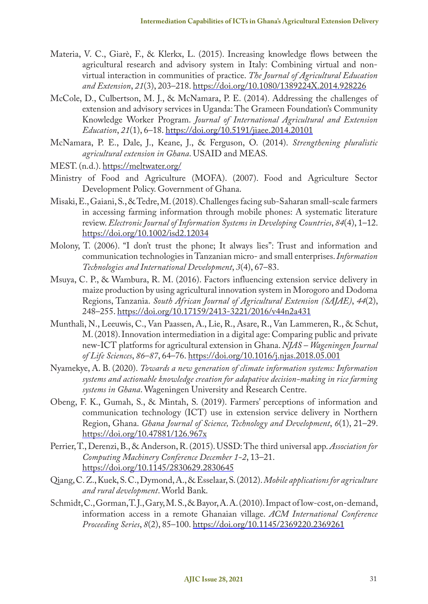- Materia, V. C., Giarè, F., & Klerkx, L. (2015). Increasing knowledge flows between the agricultural research and advisory system in Italy: Combining virtual and nonvirtual interaction in communities of practice. *The Journal of Agricultural Education and Extension*, *21*(3), 203–218. https://doi.org/10.1080/1389224X.2014.928226
- McCole, D., Culbertson, M. J., & McNamara, P. E. (2014). Addressing the challenges of extension and advisory services in Uganda: The Grameen Foundation's Community Knowledge Worker Program. *Journal of International Agricultural and Extension Education*, *21*(1), 6–18. https://doi.org/10.5191/jiaee.2014.20101
- McNamara, P. E., Dale, J., Keane, J., & Ferguson, O. (2014). *Strengthening pluralistic agricultural extension in Ghana*. USAID and MEAS.
- MEST. (n.d.). https://meltwater.org/
- Ministry of Food and Agriculture (MOFA). (2007). Food and Agriculture Sector Development Policy. Government of Ghana.
- Misaki, E., Gaiani, S., & Tedre, M. (2018). Challenges facing sub-Saharan small-scale farmers in accessing farming information through mobile phones: A systematic literature review. *Electronic Journal of Information Systems in Developing Countries*, *84*(4), 1–12. https://doi.org/10.1002/isd2.12034
- Molony, T. (2006). "I don't trust the phone; It always lies": Trust and information and communication technologies in Tanzanian micro- and small enterprises. *Information Technologies and International Development*, *3*(4), 67–83.
- Msuya, C. P., & Wambura, R. M. (2016). Factors influencing extension service delivery in maize production by using agricultural innovation system in Morogoro and Dodoma Regions, Tanzania. *South African Journal of Agricultural Extension (SAJAE)*, *44*(2), 248–255. https://doi.org/10.17159/2413-3221/2016/v44n2a431
- Munthali, N., Leeuwis, C., Van Paassen, A., Lie, R., Asare, R., Van Lammeren, R., & Schut, M. (2018). Innovation intermediation in a digital age: Comparing public and private new-ICT platforms for agricultural extension in Ghana. *NJAS – Wageningen Journal of Life Sciences*, *86*–*87*, 64–76. https://doi.org/10.1016/j.njas.2018.05.001
- Nyamekye, A. B. (2020). *Towards a new generation of climate information systems: Information systems and actionable knowledge creation for adapative decision-making in rice farming systems in Ghana*. Wageningen University and Research Centre.
- Obeng, F. K., Gumah, S., & Mintah, S. (2019). Farmers' perceptions of information and communication technology (ICT) use in extension service delivery in Northern Region, Ghana. *Ghana Journal of Science, Technology and Development*, *6*(1), 21–29. https://doi.org/10.47881/126.967x
- Perrier, T., Derenzi, B., & Anderson, R. (2015). USSD: The third universal app. *Association for Computing Machinery Conference December 1-2*, 13–21. https://doi.org/10.1145/2830629.2830645
- Qiang, C. Z., Kuek, S. C., Dymond, A., & Esselaar, S. (2012). *Mobile applications for agriculture and rural development*. World Bank.
- Schmidt, C., Gorman, T. J., Gary, M. S., & Bayor, A. A. (2010). Impact of low-cost, on-demand, information access in a remote Ghanaian village. *ACM International Conference Proceeding Series*, *8*(2), 85–100. https://doi.org/10.1145/2369220.2369261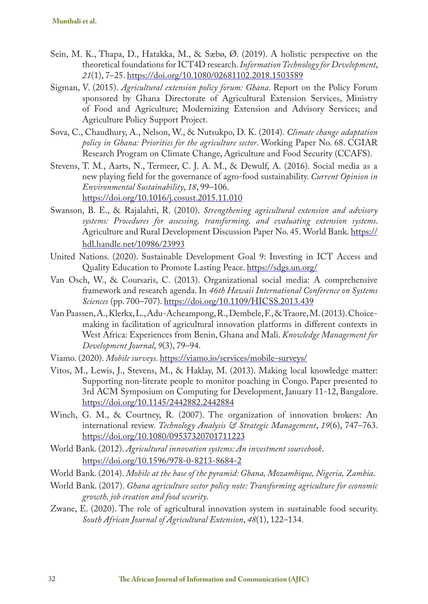- Sein, M. K., Thapa, D., Hatakka, M., & Sæbø, Ø. (2019). A holistic perspective on the theoretical foundations for ICT4D research. *Information Technology for Development*, *21*(1), 7–25. https://doi.org/10.1080/02681102.2018.1503589
- Sigman, V. (2015). *Agricultural extension policy forum: Ghana*. Report on the Policy Forum sponsored by Ghana Directorate of Agricultural Extension Services, Ministry of Food and Agriculture; Modernizing Extension and Advisory Services; and Agriculture Policy Support Project.
- Sova, C., Chaudhury, A., Nelson, W., & Nutsukpo, D. K. (2014). *Climate change adaptation policy in Ghana: Priorities for the agriculture sector*. Working Paper No. 68. CGIAR Research Program on Climate Change, Agriculture and Food Security (CCAFS).
- Stevens, T. M., Aarts, N., Termeer, C. J. A. M., & Dewulf, A. (2016). Social media as a new playing field for the governance of agro-food sustainability. *Current Opinion in Environmental Sustainability*, *18*, 99–106. https://doi.org/10.1016/j.cosust.2015.11.010
- Swanson, B. E., & Rajalahti, R. (2010). *Strengthening agricultural extension and advisory systems: Procedures for assessing, transforming, and evaluating extension systems*. Agriculture and Rural Development Discussion Paper No. 45. World Bank. https:// hdl.handle.net/10986/23993
- United Nations. (2020). Sustainable Development Goal 9: Investing in ICT Access and Quality Education to Promote Lasting Peace. https://sdgs.un.org/
- Van Osch, W., & Coursaris, C. (2013). Organizational social media: A comprehensive framework and research agenda. In *46th Hawaii International Conference on Systems Sciences* (pp. 700–707). https://doi.org/10.1109/HICSS.2013.439
- Van Paassen, A., Klerkx, L., Adu-Acheampong, R., Dembele, F., & Traore, M. (2013). Choicemaking in facilitation of agricultural innovation platforms in different contexts in West Africa: Experiences from Benin, Ghana and Mali. *Knowledge Management for Development Journal*, *9*(3), 79–94.
- Viamo. (2020). *Mobile surveys*. https://viamo.io/services/mobile-surveys/
- Vitos, M., Lewis, J., Stevens, M., & Haklay, M. (2013). Making local knowledge matter: Supporting non-literate people to monitor poaching in Congo. Paper presented to 3rd ACM Symposium on Computing for Development, January 11-12, Bangalore. https://doi.org/10.1145/2442882.2442884
- Winch, G. M., & Courtney, R. (2007). The organization of innovation brokers: An international review. *Technology Analysis & Strategic Management*, *19*(6), 747–763. https://doi.org/10.1080/09537320701711223
- World Bank. (2012). *Agricultural innovation systems: An investment sourcebook*. https://doi.org/10.1596/978-0-8213-8684-2
- World Bank. (2014). *Mobile at the base of the pyramid: Ghana, Mozambique, Nigeria, Zambia*.
- World Bank. (2017). *Ghana agriculture sector policy note: Transforming agriculture for economic growth, job creation and food security*.
- Zwane, E. (2020). The role of agricultural innovation system in sustainable food security. *South African Journal of Agricultural Extension*, *48*(1), 122–134.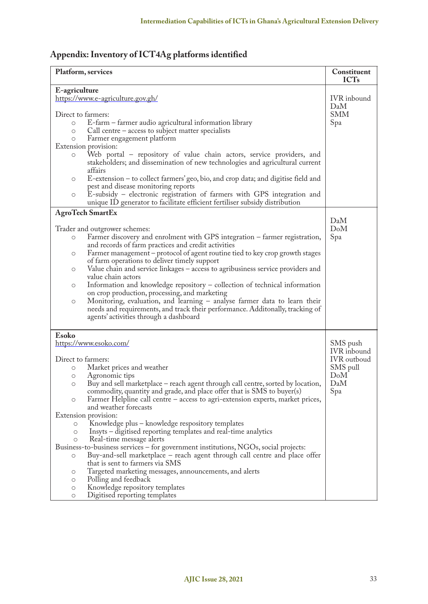# **Appendix: Inventory of ICT4Ag platforms identified**

| Platform, services                                                                                                                                                                                                                                                                                                                                                                                                                                                                                                                                                                                                                                                                                                                                                                                                                                                                                                                                                                                                                    | Constituent<br><b>ICTs</b>                                                     |  |
|---------------------------------------------------------------------------------------------------------------------------------------------------------------------------------------------------------------------------------------------------------------------------------------------------------------------------------------------------------------------------------------------------------------------------------------------------------------------------------------------------------------------------------------------------------------------------------------------------------------------------------------------------------------------------------------------------------------------------------------------------------------------------------------------------------------------------------------------------------------------------------------------------------------------------------------------------------------------------------------------------------------------------------------|--------------------------------------------------------------------------------|--|
| E-agriculture<br>https://www.e-agriculture.gov.gh/                                                                                                                                                                                                                                                                                                                                                                                                                                                                                                                                                                                                                                                                                                                                                                                                                                                                                                                                                                                    | IVR inbound<br>DaM                                                             |  |
| Direct to farmers:<br>E-farm – farmer audio agricultural information library<br>$\circ$<br>Call centre $-$ access to subject matter specialists<br>$\circ$<br>Farmer engagement platform<br>$\circ$<br>Extension provision:                                                                                                                                                                                                                                                                                                                                                                                                                                                                                                                                                                                                                                                                                                                                                                                                           | SMM<br>Spa                                                                     |  |
| Web portal - repository of value chain actors, service providers, and<br>$\circ$<br>stakeholders; and dissemination of new technologies and agricultural current<br>affairs                                                                                                                                                                                                                                                                                                                                                                                                                                                                                                                                                                                                                                                                                                                                                                                                                                                           |                                                                                |  |
| E-extension - to collect farmers' geo, bio, and crop data; and digitise field and<br>$\circ$<br>pest and disease monitoring reports<br>E-subsidy – electronic registration of farmers with GPS integration and<br>$\circ$<br>unique ID generator to facilitate efficient fertiliser subsidy distribution                                                                                                                                                                                                                                                                                                                                                                                                                                                                                                                                                                                                                                                                                                                              |                                                                                |  |
| <b>AgroTech SmartEx</b>                                                                                                                                                                                                                                                                                                                                                                                                                                                                                                                                                                                                                                                                                                                                                                                                                                                                                                                                                                                                               |                                                                                |  |
| Trader and outgrower schemes:<br>Farmer discovery and enrolment with GPS integration - farmer registration,<br>O<br>and records of farm practices and credit activities<br>Farmer management - protocol of agent routine tied to key crop growth stages<br>$\circ$<br>of farm operations to deliver timely support<br>Value chain and service linkages – access to agribusiness service providers and<br>O<br>value chain actors<br>Information and knowledge repository - collection of technical information<br>$\circ$<br>on crop production, processing, and marketing<br>Monitoring, evaluation, and learning - analyse farmer data to learn their<br>O<br>needs and requirements, and track their performance. Additonally, tracking of<br>agents' activities through a dashboard                                                                                                                                                                                                                                               | DaM<br>DoM<br>Spa                                                              |  |
| Esoko<br>https://www.esoko.com/<br>Direct to farmers:<br>Market prices and weather<br>$\circ$<br>Agronomic tips<br>$\circ$<br>Buy and sell marketplace – reach agent through call centre, sorted by location,<br>O<br>commodity, quantity and grade, and place offer that is SMS to buyer(s)<br>Farmer Helpline call centre – access to agri-extension experts, market prices,<br>$\circ$<br>and weather forecasts<br>Extension provision:<br>Knowledge plus – knowledge respository templates<br>$\circ$<br>Insyts – digitised reporting templates and real-time analytics<br>$\circ$<br>Real-time message alerts<br>$\circ$<br>Business-to-business services – for government institutions, NGOs, social projects:<br>Buy-and-sell marketplace - reach agent through call centre and place offer<br>$\circ$<br>that is sent to farmers via SMS<br>Targeted marketing messages, announcements, and alerts<br>O<br>Polling and feedback<br>О<br>Knowledge repository templates<br>$\circ$<br>Digitised reporting templates<br>$\circ$ | SMS push<br>IVR inbound<br><b>IVR</b> outboud<br>SMS pull<br>DoM<br>DaM<br>Spa |  |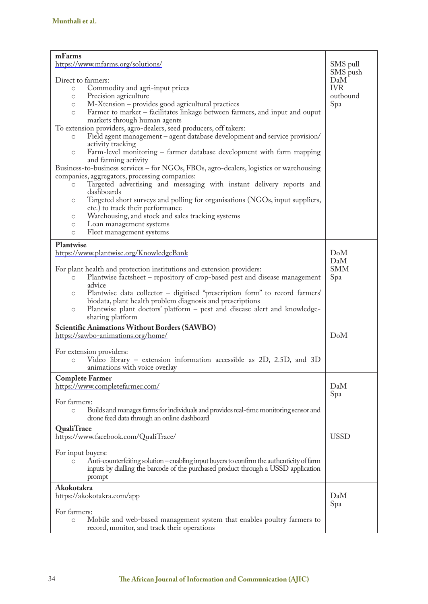| mFarms                                                                                           |                 |  |  |  |  |
|--------------------------------------------------------------------------------------------------|-----------------|--|--|--|--|
| https://www.mfarms.org/solutions/                                                                | SMS pull        |  |  |  |  |
| Direct to farmers:                                                                               | SMS push<br>DaM |  |  |  |  |
|                                                                                                  | <b>IVR</b>      |  |  |  |  |
| Commodity and agri-input prices<br>$\circ$                                                       |                 |  |  |  |  |
| Precision agriculture<br>$\circ$                                                                 | outbound        |  |  |  |  |
| M-Xtension - provides good agricultural practices<br>$\circ$                                     | Spa             |  |  |  |  |
| Farmer to market – facilitates linkage between farmers, and input and ouput<br>$\circ$           |                 |  |  |  |  |
| markets through human agents                                                                     |                 |  |  |  |  |
| To extension providers, agro-dealers, seed producers, off takers:                                |                 |  |  |  |  |
| Field agent management – agent database development and service provision/<br>$\circ$            |                 |  |  |  |  |
| activity tracking                                                                                |                 |  |  |  |  |
| Farm-level monitoring – farmer database development with farm mapping<br>$\circ$                 |                 |  |  |  |  |
| and farming activity                                                                             |                 |  |  |  |  |
| Business-to-business services – for NGOs, FBOs, agro-dealers, logistics or warehousing           |                 |  |  |  |  |
| companies, aggregators, processing companies:                                                    |                 |  |  |  |  |
| Targeted advertising and messaging with instant delivery reports and<br>$\circ$                  |                 |  |  |  |  |
| dashboards                                                                                       |                 |  |  |  |  |
| Targeted short surveys and polling for organisations (NGOs, input suppliers,<br>$\circ$          |                 |  |  |  |  |
| etc.) to track their performance                                                                 |                 |  |  |  |  |
| Warehousing, and stock and sales tracking systems<br>$\circ$                                     |                 |  |  |  |  |
| Loan management systems<br>O                                                                     |                 |  |  |  |  |
| Fleet management systems<br>O                                                                    |                 |  |  |  |  |
|                                                                                                  |                 |  |  |  |  |
| <b>Plantwise</b>                                                                                 |                 |  |  |  |  |
| https://www.plantwise.org/KnowledgeBank                                                          | DoM             |  |  |  |  |
|                                                                                                  | DaM             |  |  |  |  |
| For plant health and protection institutions and extension providers:                            | <b>SMM</b>      |  |  |  |  |
| Plantwise factsheet – repository of crop-based pest and disease management<br>$\circ$            | Spa             |  |  |  |  |
| advice                                                                                           |                 |  |  |  |  |
| Plantwise data collector - digitised "prescription form" to record farmers'<br>O                 |                 |  |  |  |  |
| biodata, plant health problem diagnosis and prescriptions                                        |                 |  |  |  |  |
| Plantwise plant doctors' platform - pest and disease alert and knowledge-<br>$\circ$             |                 |  |  |  |  |
| sharing platform                                                                                 |                 |  |  |  |  |
| <b>Scientific Animations Without Borders (SAWBO)</b>                                             |                 |  |  |  |  |
| https://sawbo-animations.org/home/                                                               | DoM             |  |  |  |  |
|                                                                                                  |                 |  |  |  |  |
|                                                                                                  |                 |  |  |  |  |
| For extension providers:                                                                         |                 |  |  |  |  |
| Video library – extension information accessible as 2D, 2.5D, and 3D<br>$\circ$                  |                 |  |  |  |  |
| animations with voice overlay                                                                    |                 |  |  |  |  |
| <b>Complete Farmer</b>                                                                           |                 |  |  |  |  |
| https://www.completefarmer.com/                                                                  | DaM             |  |  |  |  |
|                                                                                                  | Spa             |  |  |  |  |
| For farmers:                                                                                     |                 |  |  |  |  |
| Builds and manages farms for individuals and provides real-time monitoring sensor and<br>$\circ$ |                 |  |  |  |  |
| drone feed data through an online dashboard                                                      |                 |  |  |  |  |
| <b>QualiTrace</b>                                                                                |                 |  |  |  |  |
|                                                                                                  | <b>USSD</b>     |  |  |  |  |
| https://www.facebook.com/QualiTrace/                                                             |                 |  |  |  |  |
|                                                                                                  |                 |  |  |  |  |
| For input buyers:                                                                                |                 |  |  |  |  |
| Anti-counterfeiting solution – enabling input buyers to confirm the authenticity of farm         |                 |  |  |  |  |
| inputs by dialling the barcode of the purchased product through a USSD application               |                 |  |  |  |  |
| prompt                                                                                           |                 |  |  |  |  |
| Akokotakra                                                                                       |                 |  |  |  |  |
| https://akokotakra.com/app                                                                       | DaM             |  |  |  |  |
|                                                                                                  | Spa             |  |  |  |  |
| For farmers:                                                                                     |                 |  |  |  |  |
| Mobile and web-based management system that enables poultry farmers to<br>$\circ$                |                 |  |  |  |  |
| record, monitor, and track their operations                                                      |                 |  |  |  |  |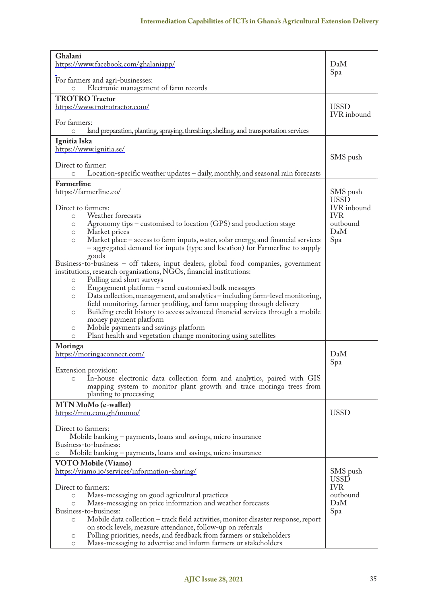| Ghalani<br>https://www.facebook.com/ghalaniapp/                                                                                  | DaM                               |
|----------------------------------------------------------------------------------------------------------------------------------|-----------------------------------|
| For farmers and agri-businesses:                                                                                                 | Spa                               |
| Electronic management of farm records<br>$\circ$                                                                                 |                                   |
| <b>TROTRO Tractor</b>                                                                                                            |                                   |
| https://www.trotrotractor.com/                                                                                                   | <b>USSD</b><br><b>IVR</b> inbound |
| For farmers:                                                                                                                     |                                   |
| land preparation, planting, spraying, threshing, shelling, and transportation services<br>$\circ$                                |                                   |
| Ignitia Iska                                                                                                                     |                                   |
| https://www.ignitia.se/                                                                                                          |                                   |
|                                                                                                                                  | SMS push                          |
| Direct to farmer:<br>Location-specific weather updates - daily, monthly, and seasonal rain forecasts<br>$\circ$                  |                                   |
|                                                                                                                                  |                                   |
| Farmerline<br>https://farmerline.co/                                                                                             |                                   |
|                                                                                                                                  | SMS push<br>USSD                  |
| Direct to farmers:                                                                                                               | <b>IVR</b> inbound                |
| Weather forecasts<br>$\circ$                                                                                                     | IVR.                              |
| Agronomy tips – customised to location (GPS) and production stage<br>$\circ$                                                     | outbound                          |
| Market prices<br>$\circ$                                                                                                         | DaM                               |
| Market place – access to farm inputs, water, solar energy, and financial services<br>$\circ$                                     | Spa                               |
| - aggregated demand for inputs (type and location) for Farmerline to supply                                                      |                                   |
| goods<br>Business-to-business - off takers, input dealers, global food companies, government                                     |                                   |
| institutions, research organisations, NGOs, financial institutions:                                                              |                                   |
| Polling and short surveys<br>$\circ$                                                                                             |                                   |
| Engagement platform - send customised bulk messages<br>$\circ$                                                                   |                                   |
| Data collection, management, and analytics – including farm-level monitoring,<br>$\circ$                                         |                                   |
| field monitoring, farmer profiling, and farm mapping through delivery                                                            |                                   |
| Building credit history to access advanced financial services through a mobile<br>$\circ$                                        |                                   |
| money payment platform                                                                                                           |                                   |
| Mobile payments and savings platform<br>$\circ$                                                                                  |                                   |
| Plant health and vegetation change monitoring using satellites<br>$\circ$                                                        |                                   |
| Moringa                                                                                                                          |                                   |
| https://moringaconnect.com/                                                                                                      | DaM                               |
| Extension provision:                                                                                                             | Spa                               |
| In-house electronic data collection form and analytics, paired with GIS<br>$\circ$                                               |                                   |
| mapping system to monitor plant growth and trace moring trees from                                                               |                                   |
| planting to processing                                                                                                           |                                   |
| MTN MoMo (e-wallet)                                                                                                              |                                   |
| https://mtn.com.gh/momo/                                                                                                         | USSD                              |
|                                                                                                                                  |                                   |
| Direct to farmers:                                                                                                               |                                   |
| Mobile banking – payments, loans and savings, micro insurance                                                                    |                                   |
| Business-to-business:                                                                                                            |                                   |
| Mobile banking – payments, loans and savings, micro insurance<br>O                                                               |                                   |
| VOTO Mobile (Viamo)                                                                                                              |                                   |
| https://viamo.io/services/information-sharing/                                                                                   | SMS push                          |
|                                                                                                                                  | USSD<br><b>IVR</b>                |
| Direct to farmers:                                                                                                               | outbound                          |
| Mass-messaging on good agricultural practices<br>$\circ$<br>Mass-messaging on price information and weather forecasts<br>$\circ$ | DaM                               |
| Business-to-business:                                                                                                            | Spa                               |
| Mobile data collection - track field activities, monitor disaster response, report<br>$\circ$                                    |                                   |
| on stock levels, measure attendance, follow-up on referrals                                                                      |                                   |
| Polling priorities, needs, and feedback from farmers or stakeholders<br>$\circ$                                                  |                                   |
| Mass-messaging to advertise and inform farmers or stakeholders<br>$\circ$                                                        |                                   |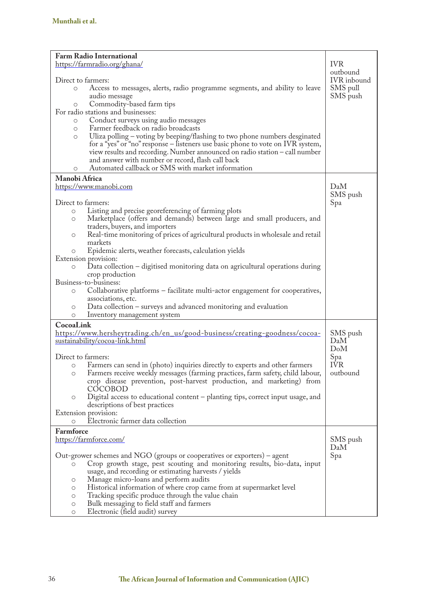| <b>Farm Radio International</b>                                                            |             |
|--------------------------------------------------------------------------------------------|-------------|
| https://farmradio.org/ghana/                                                               | <b>IVR</b>  |
|                                                                                            | outbound    |
| Direct to farmers:                                                                         | IVR inbound |
| Access to messages, alerts, radio programme segments, and ability to leave<br>$\circ$      | SMS pull    |
| audio message                                                                              | SMS push    |
| Commodity-based farm tips<br>$\circ$                                                       |             |
| For radio stations and businesses:                                                         |             |
| Conduct surveys using audio messages<br>$\circ$                                            |             |
| Farmer feedback on radio broadcasts<br>$\circ$                                             |             |
|                                                                                            |             |
| Uliza polling - voting by beeping/flashing to two phone numbers desginated<br>$\circ$      |             |
| for a "yes" or "no" response – listeners use basic phone to vote on IVR system,            |             |
| view results and recording. Number announced on radio station – call number                |             |
| and answer with number or record, flash call back                                          |             |
| Automated callback or SMS with market information<br>$\circ$                               |             |
| Manobi Africa                                                                              |             |
| https://www.manobi.com                                                                     | DaM         |
|                                                                                            | SMS push    |
| Direct to farmers:                                                                         |             |
|                                                                                            | Spa         |
| Listing and precise georeferencing of farming plots<br>$\circ$                             |             |
| Marketplace (offers and demands) between large and small producers, and<br>$\circ$         |             |
| traders, buyers, and importers                                                             |             |
| Real-time monitoring of prices of agricultural products in wholesale and retail<br>O       |             |
| markets                                                                                    |             |
| Epidemic alerts, weather forecasts, calculation yields                                     |             |
| Extension provision:                                                                       |             |
| Data collection $-$ digitised monitoring data on agricultural operations during<br>$\circ$ |             |
| crop production                                                                            |             |
| Business-to-business:                                                                      |             |
| Collaborative platforms - facilitate multi-actor engagement for cooperatives,<br>$\circ$   |             |
| associations, etc.                                                                         |             |
| Data collection $-$ surveys and advanced monitoring and evaluation<br>O                    |             |
| Inventory management system<br>O                                                           |             |
| CocoaLink                                                                                  |             |
|                                                                                            |             |
| https://www.hersheytrading.ch/en_us/good-business/creating-goodness/cocoa-                 | SMS push    |
| sustainability/cocoa-link.html                                                             | DaM         |
|                                                                                            | DoM         |
| Direct to farmers:                                                                         | Spa         |
| Farmers can send in (photo) inquiries directly to experts and other farmers<br>$\circ$     | IVR.        |
| Farmers receive weekly messages (farming practices, farm safety, child labour,<br>$\circ$  | outbound    |
| crop disease prevention, post-harvest production, and marketing) from                      |             |
| COCOBOD                                                                                    |             |
| Digital access to educational content - planting tips, correct input usage, and<br>O       |             |
| descriptions of best practices                                                             |             |
| Extension provision:                                                                       |             |
| Electronic farmer data collection<br>$\circ$                                               |             |
| Farmforce                                                                                  |             |
|                                                                                            |             |
| https://farmforce.com/                                                                     | SMS push    |
|                                                                                            | DaM         |
| Out-grower schemes and NGO (groups or cooperatives or exporters) – agent                   | Spa         |
| Crop growth stage, pest scouting and monitoring results, bio-data, input                   |             |
| usage, and recording or estimating harvests / yields                                       |             |
| Manage micro-loans and perform audits<br>$\circ$                                           |             |
| Historical information of where crop came from at supermarket level<br>$\circ$             |             |
| Tracking specific produce through the value chain<br>$\circ$                               |             |
| Bulk messaging to field staff and farmers<br>$\circ$                                       |             |
| Electronic (field audit) survey<br>$\circ$                                                 |             |